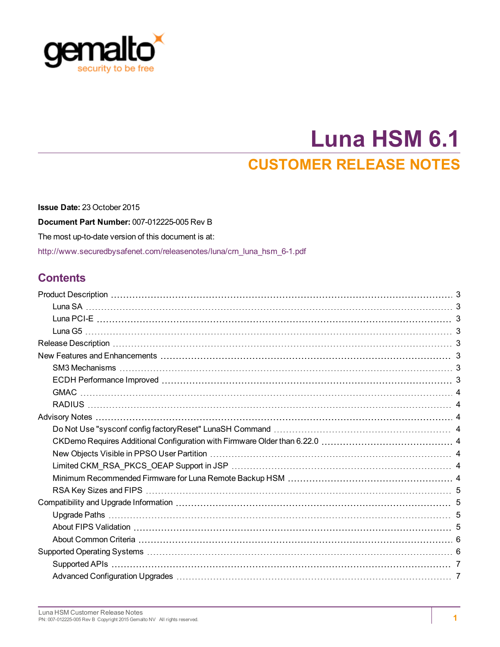

# **Luna HSM 6.1 CUSTOMER RELEASE NOTES**

**Issue Date:** 23 October 2015 **Document Part Number:** 007-012225-005 Rev B The most up-to-date version of this document is at: [http://www.securedbysafenet.com/releasenotes/luna/crn\\_luna\\_hsm\\_6-1.pdf](http://www.securedbysafenet.com/releasenotes/luna/crn_luna_hsm_6-1.pdf)

#### **Contents**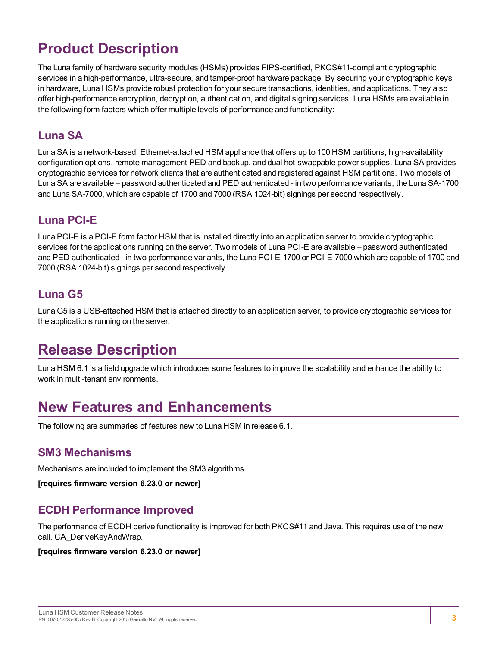# <span id="page-2-0"></span>**Product Description**

The Luna family of hardware security modules (HSMs) provides FIPS-certified, PKCS#11-compliant cryptographic services in a high-performance, ultra-secure, and tamper-proof hardware package. By securing your cryptographic keys in hardware, Luna HSMs provide robust protection for your secure transactions, identities, and applications. They also offer high-performance encryption, decryption, authentication, and digital signing services. Luna HSMs are available in the following form factors which offer multiple levels of performance and functionality:

#### <span id="page-2-1"></span>**Luna SA**

Luna SA is a network-based, Ethernet-attached HSM appliance that offers up to 100 HSM partitions, high-availability configuration options, remote management PED and backup, and dual hot-swappable power supplies. Luna SA provides cryptographic services for network clients that are authenticated and registered against HSM partitions. Two models of Luna SA are available – password authenticated and PED authenticated - in two performance variants, the Luna SA-1700 and Luna SA-7000, which are capable of 1700 and 7000 (RSA 1024-bit) signings per second respectively.

### <span id="page-2-2"></span>**Luna PCI-E**

Luna PCI-E is a PCI-E form factor HSM that is installed directly into an application server to provide cryptographic services for the applications running on the server. Two models of Luna PCI-E are available – password authenticated and PED authenticated - in two performance variants, the Luna PCI-E-1700 or PCI-E-7000 which are capable of 1700 and 7000 (RSA 1024-bit) signings per second respectively.

### <span id="page-2-3"></span>**Luna G5**

Luna G5 is a USB-attached HSM that is attached directly to an application server, to provide cryptographic services for the applications running on the server.

# <span id="page-2-4"></span>**Release Description**

<span id="page-2-5"></span>Luna HSM 6.1 is a field upgrade which introduces some features to improve the scalability and enhance the ability to work in multi-tenant environments.

# **New Features and Enhancements**

<span id="page-2-6"></span>The following are summaries of features new to Luna HSM in release 6.1.

#### **SM3 Mechanisms**

Mechanisms are included to implement the SM3 algorithms.

#### <span id="page-2-7"></span>**[requires firmware version 6.23.0 or newer]**

#### **ECDH Performance Improved**

The performance of ECDH derive functionality is improved for both PKCS#11 and Java. This requires use of the new call, CA\_DeriveKeyAndWrap.

#### **[requires firmware version 6.23.0 or newer]**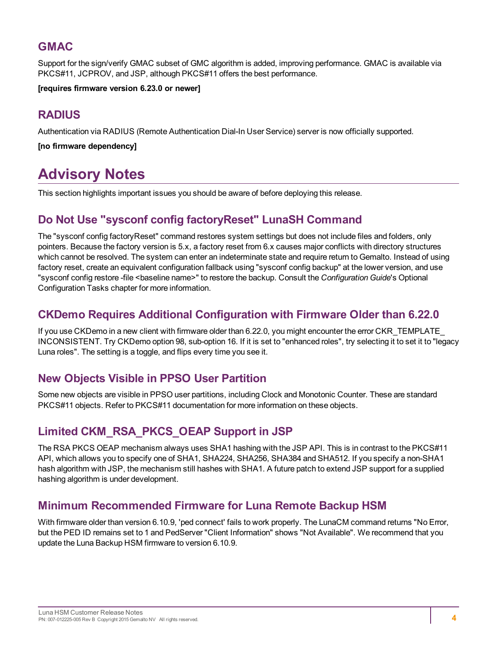#### <span id="page-3-0"></span>**GMAC**

Support for the sign/verify GMAC subset of GMC algorithm is added, improving performance. GMAC is available via PKCS#11, JCPROV, and JSP, although PKCS#11 offers the best performance.

#### <span id="page-3-1"></span>**[requires firmware version 6.23.0 or newer]**

#### **RADIUS**

Authentication via RADIUS (Remote Authentication Dial-In User Service) server is now officially supported.

<span id="page-3-2"></span>**[no firmware dependency]**

# **Advisory Notes**

<span id="page-3-3"></span>This section highlights important issues you should be aware of before deploying this release.

### **Do Not Use "sysconf config factoryReset" LunaSH Command**

The "sysconf config factoryReset" command restores system settings but does not include files and folders, only pointers. Because the factory version is 5.x, a factory reset from 6.x causes major conflicts with directory structures which cannot be resolved. The system can enter an indeterminate state and require return to Gemalto. Instead of using factory reset, create an equivalent configuration fallback using "sysconf config backup" at the lower version, and use "sysconf config restore -file <baseline name>" to restore the backup. Consult the *Configuration Guide*'s Optional Configuration Tasks chapter for more information.

#### <span id="page-3-4"></span>**CKDemo Requires Additional Configuration with Firmware Older than 6.22.0**

If you use CKDemo in a new client with firmware older than 6.22.0, you might encounter the error CKR\_TEMPLATE\_ INCONSISTENT. Try CKDemo option 98, sub-option 16. If it is set to "enhanced roles", try selecting it to set it to "legacy Luna roles". The setting is a toggle, and flips every time you see it.

### <span id="page-3-5"></span>**New Objects Visible in PPSO User Partition**

Some new objects are visible in PPSO user partitions, including Clock and Monotonic Counter. These are standard PKCS#11 objects. Refer to PKCS#11 documentation for more information on these objects.

### <span id="page-3-6"></span>**Limited CKM\_RSA\_PKCS\_OEAP Support in JSP**

The RSA PKCS OEAP mechanism always uses SHA1 hashing with the JSP API. This is in contrast to the PKCS#11 API, which allows you to specify one of SHA1, SHA224, SHA256, SHA384 and SHA512. If you specify a non-SHA1 hash algorithm with JSP, the mechanism still hashes with SHA1. A future patch to extend JSP support for a supplied hashing algorithm is under development.

#### <span id="page-3-7"></span>**Minimum Recommended Firmware for Luna Remote Backup HSM**

With firmware older than version 6.10.9, 'ped connect' fails to work properly. The LunaCM command returns "No Error, but the PED ID remains set to 1 and PedServer "Client Information" shows "Not Available". We recommend that you update the Luna Backup HSM firmware to version 6.10.9.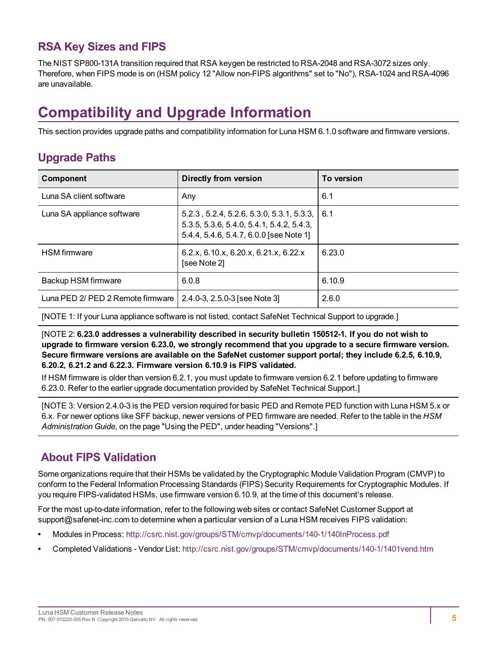#### <span id="page-4-0"></span>**RSA Key Sizes and FIPS**

The NIST SP800-131A transition required that RSA keygen be restricted to RSA-2048 and RSA-3072 sizes only. Therefore, when FIPS mode is on (HSM policy 12 "Allow non-FIPS algorithms" set to "No"), RSA-1024 and RSA-4096 are unavailable.

# <span id="page-4-1"></span>**Compatibility and Upgrade Information**

<span id="page-4-2"></span>This section provides upgrade paths and compatibility information for Luna HSM 6.1.0 software and firmware versions.

### **Upgrade Paths**

| Component                         | <b>Directly from version</b>                                                                                                             | To version |
|-----------------------------------|------------------------------------------------------------------------------------------------------------------------------------------|------------|
| Luna SA client software           | Any                                                                                                                                      | 6.1        |
| Luna SA appliance software        | $5.2.3$ , 5.2.4, 5.2.6, 5.3.0, 5.3.1, 5.3.3, 6.1<br>5.3.5, 5.3.6, 5.4.0, 5.4.1, 5.4.2, 5.4.3,<br>5.4.4, 5.4.6, 5.4.7, 6.0.0 [see Note 1] |            |
| <b>HSM</b> firmware               | 6.2.x, 6.10.x, 6.20.x, 6.21.x, 6.22.x<br>[see Note 2]                                                                                    | 6.23.0     |
| Backup HSM firmware               | 6.0.8                                                                                                                                    | 6.10.9     |
| Luna PED 2/ PED 2 Remote firmware | 2.4.0-3, 2.5.0-3 [see Note 3]                                                                                                            | 2.6.0      |

[NOTE 1: If your Luna appliance software is not listed, contact SafeNet Technical Support to upgrade.]

[NOTE 2: **6.23.0 addresses a vulnerability described in security bulletin 150512-1. If you do not wish to upgrade to firmware version 6.23.0, we strongly recommend that you upgrade to a secure firmware version. Secure firmware versions are available on the SafeNet customer support portal; they include 6.2.5, 6.10.9, 6.20.2, 6.21.2 and 6.22.3. Firmware version 6.10.9 is FIPS validated.**

If HSM firmware is older than version 6.2.1, you must update to firmware version 6.2.1 before updating to firmware 6.23.0. Refer to the earlier upgrade documentation provided by SafeNet Technical Support.]

[NOTE 3: Version 2.4.0-3 is the PED version required for basic PED and Remote PED function with Luna HSM 5.x or 6.x. For newer options like SFF backup, newer versions of PED firmware are needed. Refer to the table in the *HSM Administration Guide*, on the page "Using the PED", under heading "Versions".]

### <span id="page-4-3"></span>**About FIPS Validation**

Some organizations require that their HSMs be validated by the Cryptographic Module Validation Program (CMVP) to conform to the Federal Information Processing Standards (FIPS) Security Requirements for Cryptographic Modules. If you require FIPS-validated HSMs, use firmware version 6.10.9, at the time of this document's release.

For the most up-to-date information, refer to the following web sites or contact SafeNet Customer Support at support@safenet-inc.com to determine when a particular version of a Luna HSM receives FIPS validation:

- **•** Modules in Process: <http://csrc.nist.gov/groups/STM/cmvp/documents/140-1/140InProcess.pdf>
- **•** Completed Validations Vendor List: <http://csrc.nist.gov/groups/STM/cmvp/documents/140-1/1401vend.htm>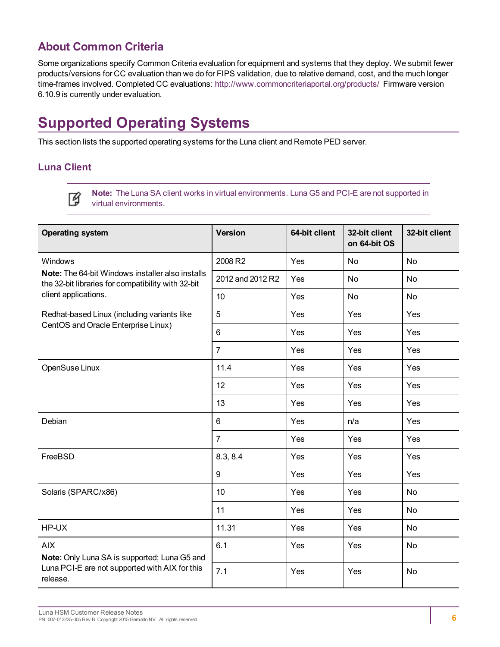### <span id="page-5-0"></span>**About Common Criteria**

Some organizations specify Common Criteria evaluation for equipment and systems that they deploy. We submit fewer products/versions for CC evaluation than we do for FIPS validation, due to relative demand, cost, and the much longer time-frames involved. Completed CC evaluations: <http://www.commoncriteriaportal.org/products/> Firmware version 6.10.9 is currently under evaluation.

# <span id="page-5-1"></span>**Supported Operating Systems**

This section lists the supported operating systems for the Luna client and Remote PED server.

#### **Luna Client**

Ø

**Note:** The Luna SA client works in virtual environments. Luna G5 and PCI-E are not supported in virtual environments.

| <b>Operating system</b>                                                                                | <b>Version</b>   | 64-bit client | 32-bit client<br>on 64-bit OS | 32-bit client |
|--------------------------------------------------------------------------------------------------------|------------------|---------------|-------------------------------|---------------|
| Windows                                                                                                | 2008 R2          | Yes           | <b>No</b>                     | <b>No</b>     |
| Note: The 64-bit Windows installer also installs<br>the 32-bit libraries for compatibility with 32-bit | 2012 and 2012 R2 | Yes           | <b>No</b>                     | <b>No</b>     |
| client applications.                                                                                   | 10               | Yes           | <b>No</b>                     | <b>No</b>     |
| Redhat-based Linux (including variants like                                                            | 5                | Yes           | Yes                           | Yes           |
| CentOS and Oracle Enterprise Linux)                                                                    | 6                | Yes           | Yes                           | Yes           |
|                                                                                                        | $\overline{7}$   | Yes           | Yes                           | Yes           |
| OpenSuse Linux                                                                                         | 11.4             | Yes           | Yes                           | Yes           |
|                                                                                                        | 12               | Yes           | Yes                           | Yes           |
|                                                                                                        | 13               | Yes           | Yes                           | Yes           |
| Debian                                                                                                 | 6                | Yes           | n/a                           | Yes           |
|                                                                                                        | $\overline{7}$   | Yes           | Yes                           | Yes           |
| FreeBSD                                                                                                | 8.3, 8.4         | Yes           | Yes                           | Yes           |
|                                                                                                        | 9                | Yes           | Yes                           | Yes           |
| Solaris (SPARC/x86)                                                                                    | 10               | Yes           | Yes                           | <b>No</b>     |
|                                                                                                        | 11               | Yes           | Yes                           | <b>No</b>     |
| HP-UX                                                                                                  | 11.31            | Yes           | Yes                           | <b>No</b>     |
| <b>AIX</b><br>Note: Only Luna SA is supported; Luna G5 and                                             | 6.1              | Yes           | Yes                           | <b>No</b>     |
| Luna PCI-E are not supported with AIX for this<br>release.                                             | 7.1              | Yes           | Yes                           | <b>No</b>     |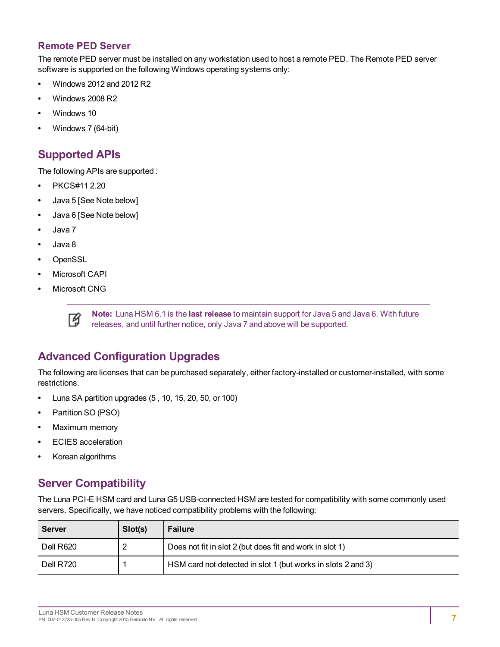#### **Remote PED Server**

The remote PED server must be installed on any workstation used to host a remote PED. The Remote PED server software is supported on the following Windows operating systems only:

- **•** Windows 2012 and 2012 R2
- **•** Windows 2008 R2
- **•** Windows 10
- <span id="page-6-0"></span>**•** Windows 7 (64-bit)

#### **Supported APIs**

The following APIs are supported :

- **•** PKCS#11 2.20
- **•** Java 5 [See Note below]
- **•** Java 6 [See Note below]
- **•** Java 7
- **•** Java 8
- **•** OpenSSL
- **•** Microsoft CAPI
- **•** Microsoft CNG



**Note:** Luna HSM 6.1 is the **last release** to maintain support for Java 5 and Java 6. With future releases, and until further notice, only Java 7 and above will be supported.

### <span id="page-6-1"></span>**Advanced Configuration Upgrades**

The following are licenses that can be purchased separately, either factory-installed or customer-installed, with some restrictions.

- **•** Luna SA partition upgrades (5 , 10, 15, 20, 50, or 100)
- **•** Partition SO (PSO)
- **•** Maximum memory
- **•** ECIES acceleration
- <span id="page-6-2"></span>**•** Korean algorithms

#### **Server Compatibility**

The Luna PCI-E HSM card and Luna G5 USB-connected HSM are tested for compatibility with some commonly used servers. Specifically, we have noticed compatibility problems with the following:

| <b>Server</b> | Slot(s) | Failure                                                      |
|---------------|---------|--------------------------------------------------------------|
| Dell R620     |         | Does not fit in slot 2 (but does fit and work in slot 1)     |
| Dell R720     |         | HSM card not detected in slot 1 (but works in slots 2 and 3) |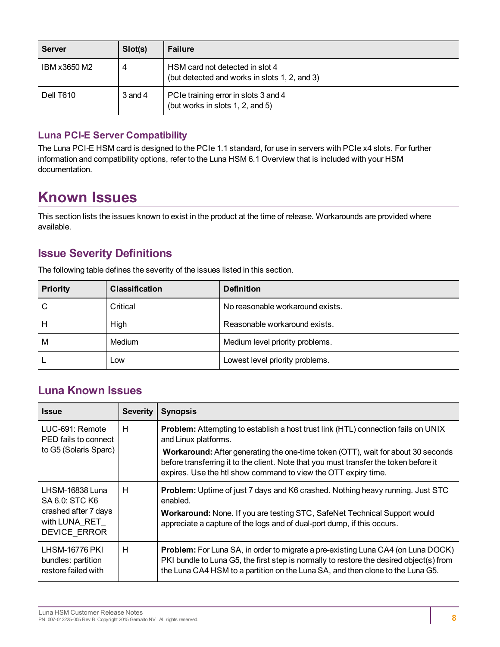| <b>Server</b> | Slot(s)     | <b>Failure</b>                                                                   |
|---------------|-------------|----------------------------------------------------------------------------------|
| IBM x3650 M2  |             | HSM card not detected in slot 4<br>(but detected and works in slots 1, 2, and 3) |
| Dell T610     | $3$ and $4$ | PCIe training error in slots 3 and 4<br>(but works in slots 1, 2, and 5)         |

#### **Luna PCI-E Server Compatibility**

The Luna PCI-E HSM card is designed to the PCIe 1.1 standard, for use in servers with PCIe x4 slots. For further information and compatibility options, refer to the Luna HSM 6.1 Overview that is included with your HSM documentation.

# <span id="page-7-0"></span>**Known Issues**

This section lists the issues known to exist in the product at the time of release. Workarounds are provided where available.

#### <span id="page-7-1"></span>**Issue Severity Definitions**

The following table defines the severity of the issues listed in this section.

| <b>Priority</b> | <b>Classification</b> | <b>Definition</b>                |
|-----------------|-----------------------|----------------------------------|
| C               | Critical              | No reasonable workaround exists. |
| H               | High                  | Reasonable workaround exists.    |
| M               | Medium                | Medium level priority problems.  |
|                 | Low                   | Lowest level priority problems.  |

#### <span id="page-7-2"></span>**Luna Known Issues**

| <b>Issue</b>                                                                               | <b>Severity</b> | <b>Synopsis</b>                                                                                                                                                                                                                                                                                                                                                        |
|--------------------------------------------------------------------------------------------|-----------------|------------------------------------------------------------------------------------------------------------------------------------------------------------------------------------------------------------------------------------------------------------------------------------------------------------------------------------------------------------------------|
| LUC-691: Remote<br>PED fails to connect<br>to G5 (Solaris Sparc)                           | H               | <b>Problem:</b> Attempting to establish a host trust link (HTL) connection fails on UNIX<br>and Linux platforms.<br><b>Workaround:</b> After generating the one-time token (OTT), wait for about 30 seconds<br>before transferring it to the client. Note that you must transfer the token before it<br>expires. Use the htl show command to view the OTT expiry time. |
| LHSM-16838 Luna<br>SA 6.0: STC K6<br>crashed after 7 days<br>with LUNA RET<br>DEVICE ERROR | H               | <b>Problem:</b> Uptime of just 7 days and K6 crashed. Nothing heavy running. Just STC<br>enabled.<br>Workaround: None. If you are testing STC, SafeNet Technical Support would<br>appreciate a capture of the logs and of dual-port dump, if this occurs.                                                                                                              |
| <b>LHSM-16776 PKI</b><br>bundles: partition<br>restore failed with                         | H               | <b>Problem:</b> For Luna SA, in order to migrate a pre-existing Luna CA4 (on Luna DOCK)<br>PKI bundle to Luna G5, the first step is normally to restore the desired object(s) from<br>the Luna CA4 HSM to a partition on the Luna SA, and then clone to the Luna G5.                                                                                                   |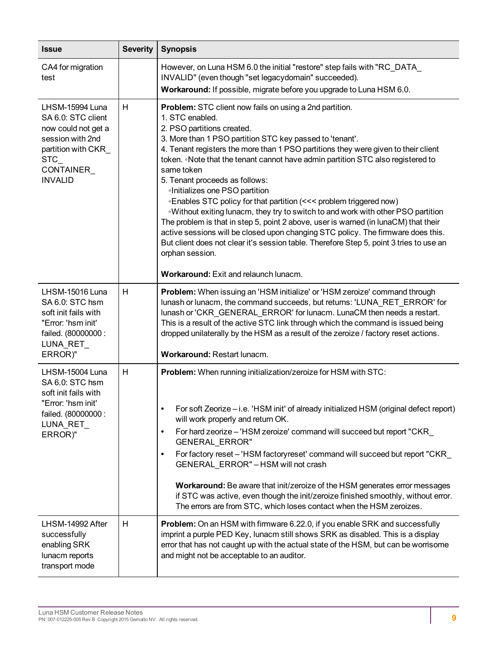| <b>Issue</b>                                                                                                                                         | <b>Severity</b> | <b>Synopsis</b>                                                                                                                                                                                                                                                                                                                                                                                                                                                                                                                                                                                                                                                                                                                                                                                                                                                                                                                     |
|------------------------------------------------------------------------------------------------------------------------------------------------------|-----------------|-------------------------------------------------------------------------------------------------------------------------------------------------------------------------------------------------------------------------------------------------------------------------------------------------------------------------------------------------------------------------------------------------------------------------------------------------------------------------------------------------------------------------------------------------------------------------------------------------------------------------------------------------------------------------------------------------------------------------------------------------------------------------------------------------------------------------------------------------------------------------------------------------------------------------------------|
| CA4 for migration<br>test                                                                                                                            |                 | However, on Luna HSM 6.0 the initial "restore" step fails with "RC_DATA_<br>INVALID" (even though "set legacydomain" succeeded).<br>Workaround: If possible, migrate before you upgrade to Luna HSM 6.0.                                                                                                                                                                                                                                                                                                                                                                                                                                                                                                                                                                                                                                                                                                                            |
| LHSM-15994 Luna<br>SA 6.0: STC client<br>now could not get a<br>session with 2nd<br>partition with CKR_<br><b>STC</b><br>CONTAINER<br><b>INVALID</b> | H               | <b>Problem:</b> STC client now fails on using a 2nd partition.<br>1. STC enabled.<br>2. PSO partitions created.<br>3. More than 1 PSO partition STC key passed to 'tenant'.<br>4. Tenant registers the more than 1 PSO partitions they were given to their client<br>token. •Note that the tenant cannot have admin partition STC also registered to<br>same token<br>5. Tenant proceeds as follows:<br>·Initializes one PSO partition<br>∘Enables STC policy for that partition (<<< problem triggered now)<br>. Without exiting lunacm, they try to switch to and work with other PSO partition<br>The problem is that in step 5, point 2 above, user is warned (in lunaCM) that their<br>active sessions will be closed upon changing STC policy. The firmware does this.<br>But client does not clear it's session table. Therefore Step 5, point 3 tries to use an<br>orphan session.<br>Workaround: Exit and relaunch lunacm. |
|                                                                                                                                                      |                 |                                                                                                                                                                                                                                                                                                                                                                                                                                                                                                                                                                                                                                                                                                                                                                                                                                                                                                                                     |
| LHSM-15016 Luna<br>SA 6.0: STC hsm<br>soft init fails with<br>"Error: 'hsm init'<br>failed. (80000000:<br>LUNA_RET<br>ERROR)"                        | H               | Problem: When issuing an 'HSM initialize' or 'HSM zeroize' command through<br>lunash or lunacm, the command succeeds, but returns: 'LUNA_RET_ERROR' for<br>lunash or 'CKR_GENERAL_ERROR' for lunacm. LunaCM then needs a restart.<br>This is a result of the active STC link through which the command is issued being<br>dropped unilaterally by the HSM as a result of the zeroize / factory reset actions.<br>Workaround: Restart lunacm.                                                                                                                                                                                                                                                                                                                                                                                                                                                                                        |
| LHSM-15004 Luna<br>SA 6.0: STC hsm<br>soft init fails with<br>"Error: 'hsm init'<br>failed. (80000000:<br>LUNA_RET_<br>ERROR)"                       | H               | Problem: When running initialization/zeroize for HSM with STC:<br>For soft Zeorize - i.e. 'HSM init' of already initialized HSM (original defect report)<br>will work properly and return OK.<br>For hard zeorize - 'HSM zeroize' command will succeed but report "CKR<br>$\bullet$<br>GENERAL_ERROR"<br>For factory reset - 'HSM factoryreset' command will succeed but report "CKR_<br>٠<br>GENERAL_ERROR" - HSM will not crash<br>Workaround: Be aware that init/zeroize of the HSM generates error messages<br>if STC was active, even though the init/zeroize finished smoothly, without error.<br>The errors are from STC, which loses contact when the HSM zeroizes.                                                                                                                                                                                                                                                         |
| LHSM-14992 After<br>successfully<br>enabling SRK<br>lunacm reports<br>transport mode                                                                 | H               | Problem: On an HSM with firmware 6.22.0, if you enable SRK and successfully<br>imprint a purple PED Key, lunacm still shows SRK as disabled. This is a display<br>error that has not caught up with the actual state of the HSM, but can be worrisome<br>and might not be acceptable to an auditor.                                                                                                                                                                                                                                                                                                                                                                                                                                                                                                                                                                                                                                 |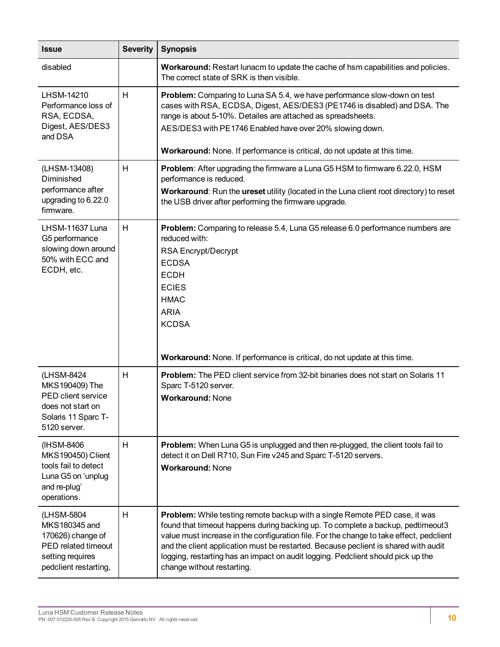| <b>Issue</b>                                                                                                         | <b>Severity</b> | <b>Synopsis</b>                                                                                                                                                                                                                                                                                                                                                                                                                                                   |
|----------------------------------------------------------------------------------------------------------------------|-----------------|-------------------------------------------------------------------------------------------------------------------------------------------------------------------------------------------------------------------------------------------------------------------------------------------------------------------------------------------------------------------------------------------------------------------------------------------------------------------|
| disabled                                                                                                             |                 | Workaround: Restart lunacm to update the cache of hsm capabilities and policies.<br>The correct state of SRK is then visible.                                                                                                                                                                                                                                                                                                                                     |
| LHSM-14210<br>Performance loss of<br>RSA, ECDSA,<br>Digest, AES/DES3<br>and DSA                                      | H               | Problem: Comparing to Luna SA 5.4, we have performance slow-down on test<br>cases with RSA, ECDSA, Digest, AES/DES3 (PE1746 is disabled) and DSA. The<br>range is about 5-10%. Detailes are attached as spreadsheets.<br>AES/DES3 with PE1746 Enabled have over 20% slowing down.<br>Workaround: None. If performance is critical, do not update at this time.                                                                                                    |
| (LHSM-13408)<br>Diminished<br>performance after<br>upgrading to 6.22.0<br>firmware.                                  | H               | Problem: After upgrading the firmware a Luna G5 HSM to firmware 6.22.0, HSM<br>performance is reduced.<br>Workaround: Run the ureset utility (located in the Luna client root directory) to reset<br>the USB driver after performing the firmware upgrade.                                                                                                                                                                                                        |
| LHSM-11637 Luna<br>G5 performance<br>slowing down around<br>50% with ECC and<br>ECDH, etc.                           | H               | Problem: Comparing to release 5.4, Luna G5 release 6.0 performance numbers are<br>reduced with:<br>RSA Encrypt/Decrypt<br><b>ECDSA</b><br><b>ECDH</b><br><b>ECIES</b><br><b>HMAC</b><br><b>ARIA</b><br><b>KCDSA</b><br>Workaround: None. If performance is critical, do not update at this time.                                                                                                                                                                  |
| (LHSM-8424<br>MKS190409) The<br>PED client service<br>does not start on<br>Solaris 11 Sparc T-<br>5120 server.       | H               | Problem: The PED client service from 32-bit binaries does not start on Solaris 11<br>Sparc T-5120 server.<br><b>Workaround: None</b>                                                                                                                                                                                                                                                                                                                              |
| (IHSM-8406)<br><b>MKS190450) Client</b><br>tools fail to detect<br>Luna G5 on 'unplug<br>and re-plug'<br>operations. | H               | Problem: When Luna G5 is unplugged and then re-plugged, the client tools fail to<br>detect it on Dell R710, Sun Fire v245 and Sparc T-5120 servers.<br><b>Workaround: None</b>                                                                                                                                                                                                                                                                                    |
| (LHSM-5804<br>MKS180345 and<br>170626) change of<br>PED related timeout<br>setting requires<br>pedclient restarting, | H               | Problem: While testing remote backup with a single Remote PED case, it was<br>found that timeout happens during backing up. To complete a backup, pedtimeout3<br>value must increase in the configuration file. For the change to take effect, pedclient<br>and the client application must be restarted. Because peclient is shared with audit<br>logging, restarting has an impact on audit logging. Pedclient should pick up the<br>change without restarting. |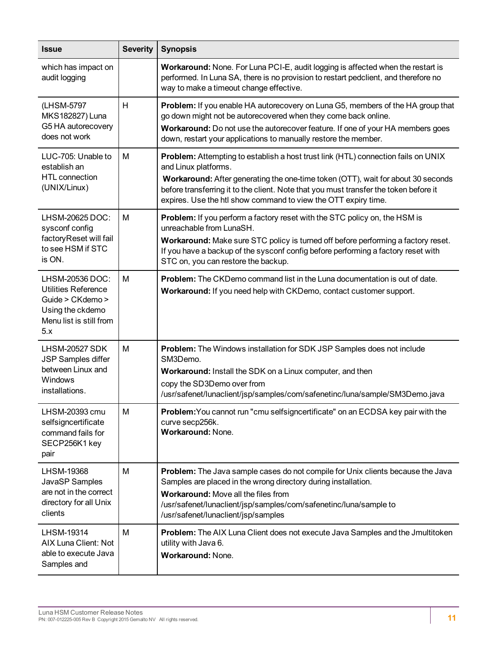| <b>Issue</b>                                                                                                            | <b>Severity</b> | <b>Synopsis</b>                                                                                                                                                                                                                                                                                                                                                 |
|-------------------------------------------------------------------------------------------------------------------------|-----------------|-----------------------------------------------------------------------------------------------------------------------------------------------------------------------------------------------------------------------------------------------------------------------------------------------------------------------------------------------------------------|
| which has impact on<br>audit logging                                                                                    |                 | Workaround: None. For Luna PCI-E, audit logging is affected when the restart is<br>performed. In Luna SA, there is no provision to restart pedclient, and therefore no<br>way to make a timeout change effective.                                                                                                                                               |
| (LHSM-5797)<br>MKS182827) Luna<br>G5 HA autorecovery<br>does not work                                                   | H               | Problem: If you enable HA autorecovery on Luna G5, members of the HA group that<br>go down might not be autorecovered when they come back online.<br>Workaround: Do not use the autorecover feature. If one of your HA members goes<br>down, restart your applications to manually restore the member.                                                          |
| LUC-705: Unable to<br>establish an<br><b>HTL</b> connection<br>(UNIX/Linux)                                             | м               | Problem: Attempting to establish a host trust link (HTL) connection fails on UNIX<br>and Linux platforms.<br><b>Workaround:</b> After generating the one-time token (OTT), wait for about 30 seconds<br>before transferring it to the client. Note that you must transfer the token before it<br>expires. Use the htl show command to view the OTT expiry time. |
| LHSM-20625 DOC:<br>sysconf config<br>factoryReset will fail<br>to see HSM if STC<br>is ON.                              | M               | <b>Problem:</b> If you perform a factory reset with the STC policy on, the HSM is<br>unreachable from LunaSH.<br><b>Workaround:</b> Make sure STC policy is turned off before performing a factory reset.<br>If you have a backup of the sysconf config before performing a factory reset with<br>STC on, you can restore the backup.                           |
| LHSM-20536 DOC:<br><b>Utilities Reference</b><br>Guide > CKdemo ><br>Using the ckdemo<br>Menu list is still from<br>5.x | M               | <b>Problem:</b> The CKDemo command list in the Luna documentation is out of date.<br>Workaround: If you need help with CKDemo, contact customer support.                                                                                                                                                                                                        |
| <b>LHSM-20527 SDK</b><br>JSP Samples differ<br>between Linux and<br>Windows<br>installations.                           | м               | Problem: The Windows installation for SDK JSP Samples does not include<br>SM3Demo.<br>Workaround: Install the SDK on a Linux computer, and then<br>copy the SD3Demo over from<br>/usr/safenet/lunaclient/jsp/samples/com/safenetinc/luna/sample/SM3Demo.java                                                                                                    |
| LHSM-20393 cmu<br>selfsigncertificate<br>command fails for<br>SECP256K1 key<br>pair                                     | M               | Problem: You cannot run "cmu selfsigncertificate" on an ECDSA key pair with the<br>curve secp256k.<br>Workaround: None.                                                                                                                                                                                                                                         |
| LHSM-19368<br>JavaSP Samples<br>are not in the correct<br>directory for all Unix<br>clients                             | M               | Problem: The Java sample cases do not compile for Unix clients because the Java<br>Samples are placed in the wrong directory during installation.<br>Workaround: Move all the files from<br>/usr/safenet/lunaclient/jsp/samples/com/safenetinc/luna/sample to<br>/usr/safenet/lunaclient/jsp/samples                                                            |
| LHSM-19314<br>AIX Luna Client: Not<br>able to execute Java<br>Samples and                                               | M               | Problem: The AIX Luna Client does not execute Java Samples and the Jmultitoken<br>utility with Java 6.<br>Workaround: None.                                                                                                                                                                                                                                     |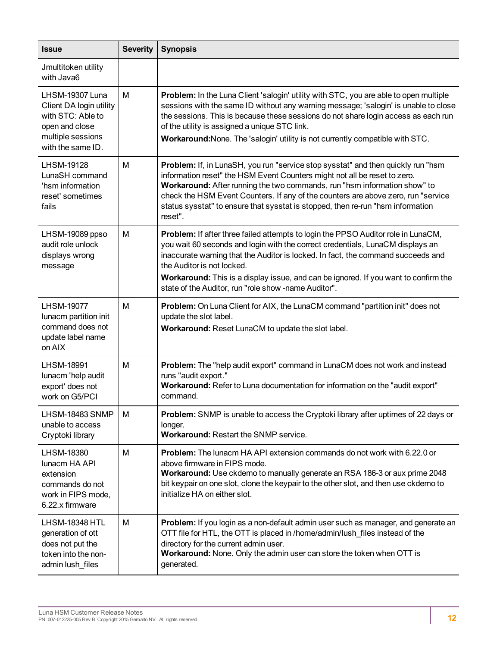| <b>Issue</b>                                                                                                                | <b>Severity</b> | <b>Synopsis</b>                                                                                                                                                                                                                                                                                                                                                                                                                      |
|-----------------------------------------------------------------------------------------------------------------------------|-----------------|--------------------------------------------------------------------------------------------------------------------------------------------------------------------------------------------------------------------------------------------------------------------------------------------------------------------------------------------------------------------------------------------------------------------------------------|
| Jmultitoken utility<br>with Java6                                                                                           |                 |                                                                                                                                                                                                                                                                                                                                                                                                                                      |
| LHSM-19307 Luna<br>Client DA login utility<br>with STC: Able to<br>open and close<br>multiple sessions<br>with the same ID. | M               | <b>Problem:</b> In the Luna Client 'salogin' utility with STC, you are able to open multiple<br>sessions with the same ID without any warning message; 'salogin' is unable to close<br>the sessions. This is because these sessions do not share login access as each run<br>of the utility is assigned a unique STC link.<br>Workaround: None. The 'salogin' utility is not currently compatible with STC.                          |
| LHSM-19128<br>LunaSH command<br>'hsm information<br>reset' sometimes<br>fails                                               | M               | Problem: If, in LunaSH, you run "service stop sysstat" and then quickly run "hsm<br>information reset" the HSM Event Counters might not all be reset to zero.<br>Workaround: After running the two commands, run "hsm information show" to<br>check the HSM Event Counters. If any of the counters are above zero, run "service<br>status sysstat" to ensure that sysstat is stopped, then re-run "hsm information<br>reset".        |
| LHSM-19089 ppso<br>audit role unlock<br>displays wrong<br>message                                                           | M               | Problem: If after three failed attempts to login the PPSO Auditor role in LunaCM,<br>you wait 60 seconds and login with the correct credentials, LunaCM displays an<br>inaccurate warning that the Auditor is locked. In fact, the command succeeds and<br>the Auditor is not locked.<br>Workaround: This is a display issue, and can be ignored. If you want to confirm the<br>state of the Auditor, run "role show -name Auditor". |
| <b>LHSM-19077</b><br>lunacm partition init<br>command does not<br>update label name<br>on AIX                               | M               | Problem: On Luna Client for AIX, the LunaCM command "partition init" does not<br>update the slot label.<br>Workaround: Reset LunaCM to update the slot label.                                                                                                                                                                                                                                                                        |
| LHSM-18991<br>lunacm 'help audit<br>export' does not<br>work on G5/PCI                                                      | M               | Problem: The "help audit export" command in LunaCM does not work and instead<br>runs "audit export."<br>Workaround: Refer to Luna documentation for information on the "audit export"<br>command.                                                                                                                                                                                                                                    |
| LHSM-18483 SNMP<br>unable to access<br>Cryptoki library                                                                     | M               | Problem: SNMP is unable to access the Cryptoki library after uptimes of 22 days or<br>longer.<br>Workaround: Restart the SNMP service.                                                                                                                                                                                                                                                                                               |
| LHSM-18380<br>lunacm HA API<br>extension<br>commands do not<br>work in FIPS mode,<br>6.22.x firmware                        | M               | Problem: The lunacm HA API extension commands do not work with 6.22.0 or<br>above firmware in FIPS mode.<br>Workaround: Use ckdemo to manually generate an RSA 186-3 or aux prime 2048<br>bit keypair on one slot, clone the keypair to the other slot, and then use ckdemo to<br>initialize HA on either slot.                                                                                                                      |
| <b>LHSM-18348 HTL</b><br>generation of ott<br>does not put the<br>token into the non-<br>admin lush_files                   | M               | Problem: If you login as a non-default admin user such as manager, and generate an<br>OTT file for HTL, the OTT is placed in /home/admin/lush_files instead of the<br>directory for the current admin user.<br>Workaround: None. Only the admin user can store the token when OTT is<br>generated.                                                                                                                                   |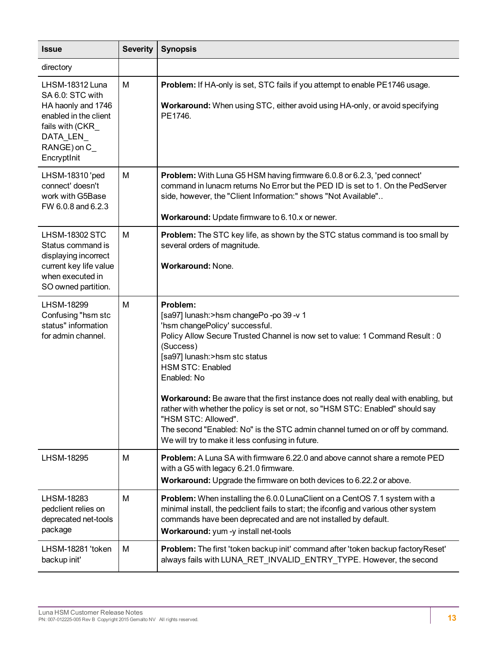| <b>Issue</b>                                                                                                                                            | <b>Severity</b> | <b>Synopsis</b>                                                                                                                                                                                                                                                                                                                                                                                                                                                                                                                                                                                           |
|---------------------------------------------------------------------------------------------------------------------------------------------------------|-----------------|-----------------------------------------------------------------------------------------------------------------------------------------------------------------------------------------------------------------------------------------------------------------------------------------------------------------------------------------------------------------------------------------------------------------------------------------------------------------------------------------------------------------------------------------------------------------------------------------------------------|
| directory                                                                                                                                               |                 |                                                                                                                                                                                                                                                                                                                                                                                                                                                                                                                                                                                                           |
| LHSM-18312 Luna<br>SA 6.0: STC with<br>HA haonly and 1746<br>enabled in the client<br>fails with (CKR_<br>DATA_LEN_<br>$RANGE$ ) on $C_$<br>EncryptInit | M               | Problem: If HA-only is set, STC fails if you attempt to enable PE1746 usage.<br>Workaround: When using STC, either avoid using HA-only, or avoid specifying<br>PE1746.                                                                                                                                                                                                                                                                                                                                                                                                                                    |
| LHSM-18310 'ped<br>connect' doesn't<br>work with G5Base<br>FW 6.0.8 and 6.2.3                                                                           | M               | Problem: With Luna G5 HSM having firmware 6.0.8 or 6.2.3, 'ped connect'<br>command in lunacm returns No Error but the PED ID is set to 1. On the PedServer<br>side, however, the "Client Information:" shows "Not Available"<br>Workaround: Update firmware to 6.10.x or newer.                                                                                                                                                                                                                                                                                                                           |
| <b>LHSM-18302 STC</b><br>Status command is<br>displaying incorrect<br>current key life value<br>when executed in<br>SO owned partition.                 | M               | <b>Problem:</b> The STC key life, as shown by the STC status command is too small by<br>several orders of magnitude.<br>Workaround: None.                                                                                                                                                                                                                                                                                                                                                                                                                                                                 |
| LHSM-18299<br>Confusing "hsm stc<br>status" information<br>for admin channel.                                                                           | M               | Problem:<br>[sa97] lunash: > hsm changePo - po 39 - v 1<br>'hsm changePolicy' successful.<br>Policy Allow Secure Trusted Channel is now set to value: 1 Command Result : 0<br>(Success)<br>[sa97] lunash:>hsm stc status<br><b>HSM STC: Enabled</b><br>Enabled: No<br>Workaround: Be aware that the first instance does not really deal with enabling, but<br>rather with whether the policy is set or not, so "HSM STC: Enabled" should say<br>"HSM STC: Allowed".<br>The second "Enabled: No" is the STC admin channel turned on or off by command.<br>We will try to make it less confusing in future. |
| LHSM-18295                                                                                                                                              | M               | <b>Problem:</b> A Luna SA with firmware 6.22.0 and above cannot share a remote PED<br>with a G5 with legacy 6.21.0 firmware.<br>Workaround: Upgrade the firmware on both devices to 6.22.2 or above.                                                                                                                                                                                                                                                                                                                                                                                                      |
| LHSM-18283<br>pedclient relies on<br>deprecated net-tools<br>package                                                                                    | M               | <b>Problem:</b> When installing the 6.0.0 LunaClient on a CentOS 7.1 system with a<br>minimal install, the pedclient fails to start; the ifconfig and various other system<br>commands have been deprecated and are not installed by default.<br>Workaround: yum -y install net-tools                                                                                                                                                                                                                                                                                                                     |
| LHSM-18281 'token<br>backup init'                                                                                                                       | M               | Problem: The first 'token backup init' command after 'token backup factory Reset'<br>always fails with LUNA_RET_INVALID_ENTRY_TYPE. However, the second                                                                                                                                                                                                                                                                                                                                                                                                                                                   |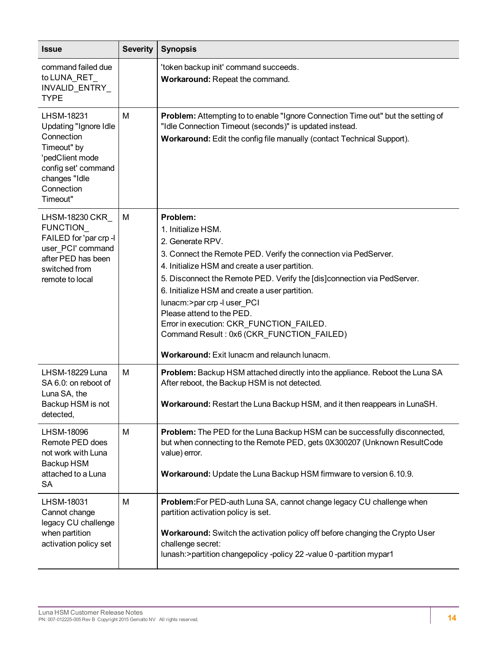| <b>Issue</b>                                                                                                                                                 | <b>Severity</b> | <b>Synopsis</b>                                                                                                                                                                                                                                                                                                                                                                                                                                                                                           |
|--------------------------------------------------------------------------------------------------------------------------------------------------------------|-----------------|-----------------------------------------------------------------------------------------------------------------------------------------------------------------------------------------------------------------------------------------------------------------------------------------------------------------------------------------------------------------------------------------------------------------------------------------------------------------------------------------------------------|
| command failed due<br>to LUNA RET<br>INVALID_ENTRY_<br><b>TYPE</b>                                                                                           |                 | 'token backup init' command succeeds.<br>Workaround: Repeat the command.                                                                                                                                                                                                                                                                                                                                                                                                                                  |
| <b>LHSM-18231</b><br>Updating "Ignore Idle<br>Connection<br>Timeout" by<br>'pedClient mode<br>config set' command<br>changes "Idle<br>Connection<br>Timeout" | M               | <b>Problem:</b> Attempting to to enable "Ignore Connection Time out" but the setting of<br>"Idle Connection Timeout (seconds)" is updated instead.<br>Workaround: Edit the config file manually (contact Technical Support).                                                                                                                                                                                                                                                                              |
| LHSM-18230 CKR<br><b>FUNCTION</b><br>FAILED for 'par crp -I<br>user PCI' command<br>after PED has been<br>switched from<br>remote to local                   | M               | Problem:<br>1. Initialize HSM.<br>2. Generate RPV.<br>3. Connect the Remote PED. Verify the connection via PedServer.<br>4. Initialize HSM and create a user partition.<br>5. Disconnect the Remote PED. Verify the [dis]connection via PedServer.<br>6. Initialize HSM and create a user partition.<br>lunacm:>par crp -l user PCI<br>Please attend to the PED.<br>Error in execution: CKR_FUNCTION_FAILED.<br>Command Result: 0x6 (CKR_FUNCTION_FAILED)<br>Workaround: Exit lunacm and relaunch lunacm. |
| LHSM-18229 Luna<br>SA 6.0: on reboot of<br>Luna SA, the<br>Backup HSM is not<br>detected,                                                                    | м               | Problem: Backup HSM attached directly into the appliance. Reboot the Luna SA<br>After reboot, the Backup HSM is not detected.<br>Workaround: Restart the Luna Backup HSM, and it then reappears in LunaSH.                                                                                                                                                                                                                                                                                                |
| LHSM-18096<br>Remote PED does<br>not work with Luna<br>Backup HSM<br>attached to a Luna<br><b>SA</b>                                                         | M               | Problem: The PED for the Luna Backup HSM can be successfully disconnected,<br>but when connecting to the Remote PED, gets 0X300207 (Unknown ResultCode<br>value) error.<br>Workaround: Update the Luna Backup HSM firmware to version 6.10.9.                                                                                                                                                                                                                                                             |
| LHSM-18031<br>Cannot change<br>legacy CU challenge<br>when partition<br>activation policy set                                                                | M               | Problem: For PED-auth Luna SA, cannot change legacy CU challenge when<br>partition activation policy is set.<br>Workaround: Switch the activation policy off before changing the Crypto User<br>challenge secret:<br>lunash: > partition changepolicy -policy 22 -value 0 -partition mypar1                                                                                                                                                                                                               |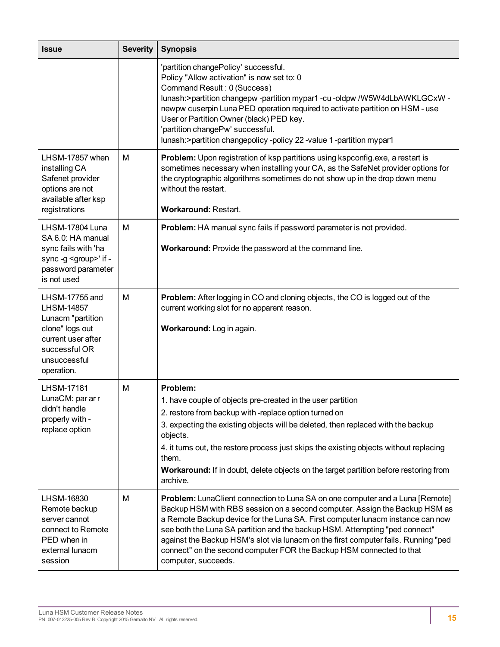| <b>Issue</b>                                                                                                                                     | <b>Severity</b> | <b>Synopsis</b>                                                                                                                                                                                                                                                                                                                                                                                                                                                                                                   |
|--------------------------------------------------------------------------------------------------------------------------------------------------|-----------------|-------------------------------------------------------------------------------------------------------------------------------------------------------------------------------------------------------------------------------------------------------------------------------------------------------------------------------------------------------------------------------------------------------------------------------------------------------------------------------------------------------------------|
|                                                                                                                                                  |                 | 'partition changePolicy' successful.<br>Policy "Allow activation" is now set to: 0<br>Command Result: 0 (Success)<br>lunash:>partition changepw -partition mypar1 -cu -oldpw /W5W4dLbAWKLGCxW -<br>newpw cuserpin Luna PED operation required to activate partition on HSM - use<br>User or Partition Owner (black) PED key.<br>'partition changePw' successful.<br>lunash: > partition changepolicy - policy 22 - value 1 - partition mypar1                                                                     |
| LHSM-17857 when<br>installing CA<br>Safenet provider<br>options are not<br>available after ksp<br>registrations                                  | M               | <b>Problem:</b> Upon registration of ksp partitions using kspconfig.exe, a restart is<br>sometimes necessary when installing your CA, as the SafeNet provider options for<br>the cryptographic algorithms sometimes do not show up in the drop down menu<br>without the restart.<br><b>Workaround: Restart.</b>                                                                                                                                                                                                   |
| LHSM-17804 Luna<br>SA 6.0: HA manual<br>sync fails with 'ha<br>sync -g <group>' if -<br/>password parameter<br/>is not used</group>              | M               | Problem: HA manual sync fails if password parameter is not provided.<br>Workaround: Provide the password at the command line.                                                                                                                                                                                                                                                                                                                                                                                     |
| LHSM-17755 and<br><b>LHSM-14857</b><br>Lunacm "partition<br>clone" logs out<br>current user after<br>successful OR<br>unsuccessful<br>operation. | M               | <b>Problem:</b> After logging in CO and cloning objects, the CO is logged out of the<br>current working slot for no apparent reason.<br>Workaround: Log in again.                                                                                                                                                                                                                                                                                                                                                 |
| <b>LHSM-17181</b><br>LunaCM: par ar r<br>didn't handle<br>properly with -<br>replace option                                                      | M               | Problem:<br>1. have couple of objects pre-created in the user partition<br>2. restore from backup with -replace option turned on<br>3. expecting the existing objects will be deleted, then replaced with the backup<br>objects.<br>4. it turns out, the restore process just skips the existing objects without replacing<br>them.<br>Workaround: If in doubt, delete objects on the target partition before restoring from<br>archive.                                                                          |
| LHSM-16830<br>Remote backup<br>server cannot<br>connect to Remote<br>PED when in<br>external lunacm<br>session                                   | M               | Problem: LunaClient connection to Luna SA on one computer and a Luna [Remote]<br>Backup HSM with RBS session on a second computer. Assign the Backup HSM as<br>a Remote Backup device for the Luna SA. First computer lunacm instance can now<br>see both the Luna SA partition and the backup HSM. Attempting "ped connect"<br>against the Backup HSM's slot via lunacm on the first computer fails. Running "ped<br>connect" on the second computer FOR the Backup HSM connected to that<br>computer, succeeds. |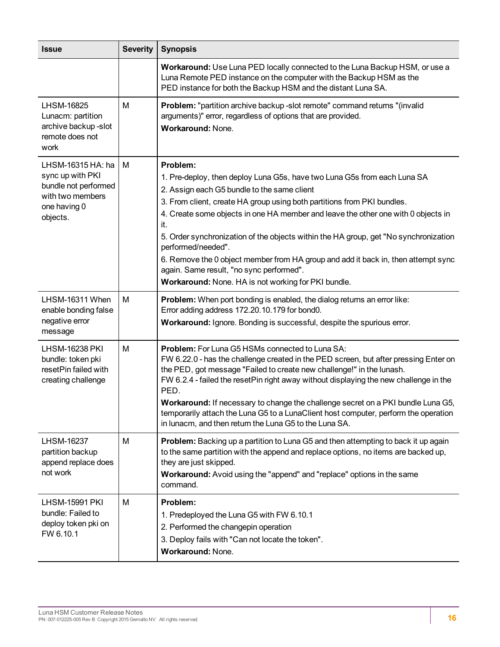| <b>Issue</b>                                                                                                  | <b>Severity</b> | <b>Synopsis</b>                                                                                                                                                                                                                                                                                                                                                                                                                                                                                                                                                                                                  |
|---------------------------------------------------------------------------------------------------------------|-----------------|------------------------------------------------------------------------------------------------------------------------------------------------------------------------------------------------------------------------------------------------------------------------------------------------------------------------------------------------------------------------------------------------------------------------------------------------------------------------------------------------------------------------------------------------------------------------------------------------------------------|
|                                                                                                               |                 | Workaround: Use Luna PED locally connected to the Luna Backup HSM, or use a<br>Luna Remote PED instance on the computer with the Backup HSM as the<br>PED instance for both the Backup HSM and the distant Luna SA.                                                                                                                                                                                                                                                                                                                                                                                              |
| <b>LHSM-16825</b><br>Lunacm: partition<br>archive backup-slot<br>remote does not<br>work                      | M               | Problem: "partition archive backup -slot remote" command returns "(invalid<br>arguments)" error, regardless of options that are provided.<br>Workaround: None.                                                                                                                                                                                                                                                                                                                                                                                                                                                   |
| LHSM-16315 HA: ha<br>sync up with PKI<br>bundle not performed<br>with two members<br>one having 0<br>objects. | M               | Problem:<br>1. Pre-deploy, then deploy Luna G5s, have two Luna G5s from each Luna SA<br>2. Assign each G5 bundle to the same client<br>3. From client, create HA group using both partitions from PKI bundles.<br>4. Create some objects in one HA member and leave the other one with 0 objects in<br>it.<br>5. Order synchronization of the objects within the HA group, get "No synchronization<br>performed/needed".<br>6. Remove the 0 object member from HA group and add it back in, then attempt sync<br>again. Same result, "no sync performed".<br>Workaround: None. HA is not working for PKI bundle. |
| LHSM-16311 When<br>enable bonding false<br>negative error<br>message                                          | M               | <b>Problem:</b> When port bonding is enabled, the dialog returns an error like:<br>Error adding address 172.20.10.179 for bond0.<br>Workaround: Ignore. Bonding is successful, despite the spurious error.                                                                                                                                                                                                                                                                                                                                                                                                       |
| <b>LHSM-16238 PKI</b><br>bundle: token pki<br>resetPin failed with<br>creating challenge                      | M               | <b>Problem:</b> For Luna G5 HSMs connected to Luna SA:<br>FW 6.22.0 - has the challenge created in the PED screen, but after pressing Enter on<br>the PED, got message "Failed to create new challenge!" in the lunash.<br>FW 6.2.4 - failed the resetPin right away without displaying the new challenge in the<br>PED.<br>Workaround: If necessary to change the challenge secret on a PKI bundle Luna G5,<br>temporarily attach the Luna G5 to a LunaClient host computer, perform the operation<br>in lunacm, and then return the Luna G5 to the Luna SA.                                                    |
| LHSM-16237<br>partition backup<br>append replace does<br>not work                                             | M               | Problem: Backing up a partition to Luna G5 and then attempting to back it up again<br>to the same partition with the append and replace options, no items are backed up,<br>they are just skipped.<br>Workaround: Avoid using the "append" and "replace" options in the same<br>command.                                                                                                                                                                                                                                                                                                                         |
| <b>LHSM-15991 PKI</b><br>bundle: Failed to<br>deploy token pki on<br>FW 6.10.1                                | M               | Problem:<br>1. Predeployed the Luna G5 with FW 6.10.1<br>2. Performed the changepin operation<br>3. Deploy fails with "Can not locate the token".<br>Workaround: None.                                                                                                                                                                                                                                                                                                                                                                                                                                           |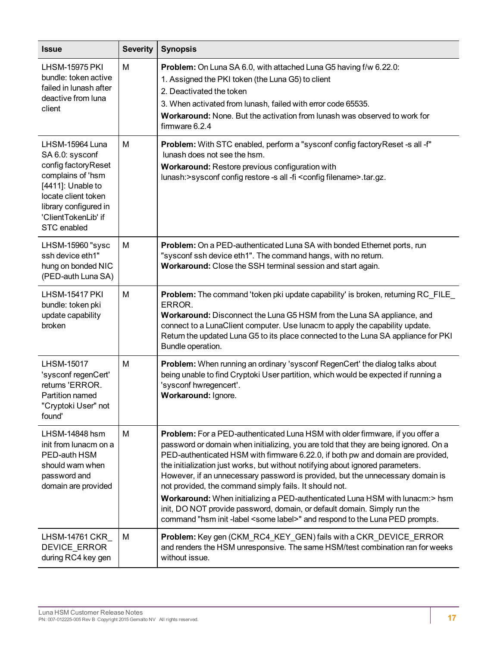| <b>Issue</b>                                                                                                                                                                                 | <b>Severity</b> | <b>Synopsis</b>                                                                                                                                                                                                                                                                                                                                                                                                                                                                                                                                                                                                                                                                                                                            |
|----------------------------------------------------------------------------------------------------------------------------------------------------------------------------------------------|-----------------|--------------------------------------------------------------------------------------------------------------------------------------------------------------------------------------------------------------------------------------------------------------------------------------------------------------------------------------------------------------------------------------------------------------------------------------------------------------------------------------------------------------------------------------------------------------------------------------------------------------------------------------------------------------------------------------------------------------------------------------------|
| <b>LHSM-15975 PKI</b><br>bundle: token active<br>failed in lunash after<br>deactive from luna<br>client                                                                                      | M               | Problem: On Luna SA 6.0, with attached Luna G5 having f/w 6.22.0:<br>1. Assigned the PKI token (the Luna G5) to client<br>2. Deactivated the token<br>3. When activated from lunash, failed with error code 65535.<br><b>Workaround:</b> None. But the activation from lunash was observed to work for<br>firmware 6.2.4                                                                                                                                                                                                                                                                                                                                                                                                                   |
| LHSM-15964 Luna<br>SA 6.0: sysconf<br>config factoryReset<br>complains of 'hsm<br>$[4411]$ : Unable to<br>locate client token<br>library configured in<br>'ClientTokenLib' if<br>STC enabled | M               | Problem: With STC enabled, perform a "sysconf config factory Reset -s all -f"<br>lunash does not see the hsm.<br>Workaround: Restore previous configuration with<br>lunash: > sysconf config restore -s all -fi < config filename > .tar.gz.                                                                                                                                                                                                                                                                                                                                                                                                                                                                                               |
| LHSM-15960 "sysc<br>ssh device eth1"<br>hung on bonded NIC<br>(PED-auth Luna SA)                                                                                                             | M               | Problem: On a PED-authenticated Luna SA with bonded Ethernet ports, run<br>"sysconf ssh device eth1". The command hangs, with no return.<br>Workaround: Close the SSH terminal session and start again.                                                                                                                                                                                                                                                                                                                                                                                                                                                                                                                                    |
| <b>LHSM-15417 PKI</b><br>bundle: token pki<br>update capability<br>broken                                                                                                                    | M               | <b>Problem:</b> The command 'token pki update capability' is broken, returning RC_FILE_<br>ERROR.<br>Workaround: Disconnect the Luna G5 HSM from the Luna SA appliance, and<br>connect to a LunaClient computer. Use lunacm to apply the capability update.<br>Return the updated Luna G5 to its place connected to the Luna SA appliance for PKI<br>Bundle operation.                                                                                                                                                                                                                                                                                                                                                                     |
| <b>LHSM-15017</b><br>'sysconf regenCert'<br>returns 'ERROR.<br>Partition named<br>"Cryptoki User" not<br>found'                                                                              | M               | Problem: When running an ordinary 'sysconf RegenCert' the dialog talks about<br>being unable to find Cryptoki User partition, which would be expected if running a<br>'sysconf hwregencert'.<br>Workaround: Ignore.                                                                                                                                                                                                                                                                                                                                                                                                                                                                                                                        |
| LHSM-14848 hsm<br>init from lunacm on a<br>PED-auth HSM<br>should warn when<br>password and<br>domain are provided                                                                           | M               | Problem: For a PED-authenticated Luna HSM with older firmware, if you offer a<br>password or domain when initializing, you are told that they are being ignored. On a<br>PED-authenticated HSM with firmware 6.22.0, if both pw and domain are provided,<br>the initialization just works, but without notifying about ignored parameters.<br>However, if an unnecessary password is provided, but the unnecessary domain is<br>not provided, the command simply fails. It should not.<br>Workaround: When initializing a PED-authenticated Luna HSM with lunacm:> hsm<br>init, DO NOT provide password, domain, or default domain. Simply run the<br>command "hsm init-label <some label="">" and respond to the Luna PED prompts.</some> |
| LHSM-14761 CKR_<br>DEVICE_ERROR<br>during RC4 key gen                                                                                                                                        | M               | Problem: Key gen (CKM_RC4_KEY_GEN) fails with a CKR_DEVICE_ERROR<br>and renders the HSM unresponsive. The same HSM/test combination ran for weeks<br>without issue.                                                                                                                                                                                                                                                                                                                                                                                                                                                                                                                                                                        |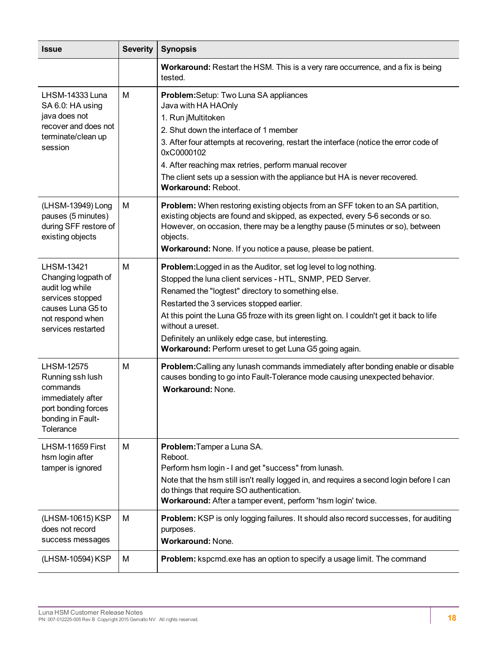| <b>Issue</b>                                                                                                                                   | <b>Severity</b> | <b>Synopsis</b>                                                                                                                                                                                                                                                                                                                                                                                                                                                         |
|------------------------------------------------------------------------------------------------------------------------------------------------|-----------------|-------------------------------------------------------------------------------------------------------------------------------------------------------------------------------------------------------------------------------------------------------------------------------------------------------------------------------------------------------------------------------------------------------------------------------------------------------------------------|
|                                                                                                                                                |                 | <b>Workaround:</b> Restart the HSM. This is a very rare occurrence, and a fix is being<br>tested.                                                                                                                                                                                                                                                                                                                                                                       |
| LHSM-14333 Luna<br>SA 6.0: HA using<br>java does not<br>recover and does not<br>terminate/clean up<br>session                                  | M               | Problem: Setup: Two Luna SA appliances<br>Java with HA HAOnly<br>1. Run jMultitoken<br>2. Shut down the interface of 1 member<br>3. After four attempts at recovering, restart the interface (notice the error code of<br>0xC0000102<br>4. After reaching max retries, perform manual recover<br>The client sets up a session with the appliance but HA is never recovered.<br>Workaround: Reboot.                                                                      |
| (LHSM-13949) Long<br>pauses (5 minutes)<br>during SFF restore of<br>existing objects                                                           | M               | <b>Problem:</b> When restoring existing objects from an SFF token to an SA partition,<br>existing objects are found and skipped, as expected, every 5-6 seconds or so.<br>However, on occasion, there may be a lengthy pause (5 minutes or so), between<br>objects.<br>Workaround: None. If you notice a pause, please be patient.                                                                                                                                      |
| <b>LHSM-13421</b><br>Changing logpath of<br>audit log while<br>services stopped<br>causes Luna G5 to<br>not respond when<br>services restarted | M               | <b>Problem:</b> Logged in as the Auditor, set log level to log nothing.<br>Stopped the luna client services - HTL, SNMP, PED Server.<br>Renamed the "logtest" directory to something else.<br>Restarted the 3 services stopped earlier.<br>At this point the Luna G5 froze with its green light on. I couldn't get it back to life<br>without a ureset.<br>Definitely an unlikely edge case, but interesting.<br>Workaround: Perform ureset to get Luna G5 going again. |
| <b>LHSM-12575</b><br>Running ssh lush<br>commands<br>immediately after<br>port bonding forces<br>bonding in Fault-<br>Tolerance                | M               | Problem: Calling any lunash commands immediately after bonding enable or disable<br>causes bonding to go into Fault-Tolerance mode causing unexpected behavior.<br><b>Workaround: None.</b>                                                                                                                                                                                                                                                                             |
| LHSM-11659 First<br>hsm login after<br>tamper is ignored                                                                                       | M               | Problem: Tamper a Luna SA.<br>Reboot.<br>Perform hsm login - I and get "success" from lunash.<br>Note that the hsm still isn't really logged in, and requires a second login before I can<br>do things that require SO authentication.<br>Workaround: After a tamper event, perform 'hsm login' twice.                                                                                                                                                                  |
| (LHSM-10615) KSP<br>does not record<br>success messages                                                                                        | M               | <b>Problem:</b> KSP is only logging failures. It should also record successes, for auditing<br>purposes.<br>Workaround: None.                                                                                                                                                                                                                                                                                                                                           |
| (LHSM-10594) KSP                                                                                                                               | M               | Problem: kspcmd.exe has an option to specify a usage limit. The command                                                                                                                                                                                                                                                                                                                                                                                                 |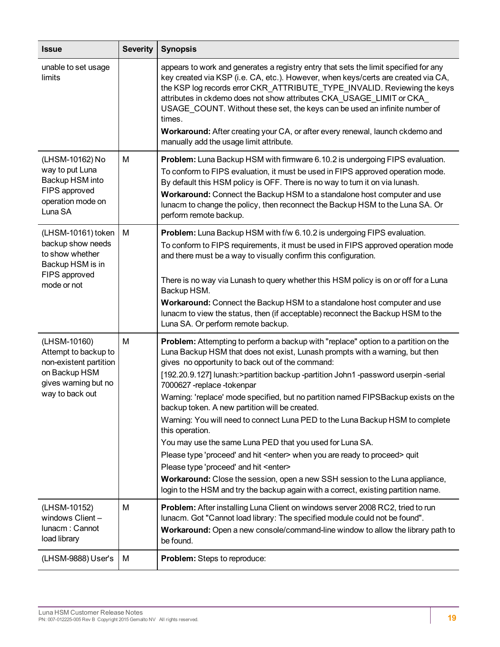| <b>Issue</b>                                                                                                               | <b>Severity</b> | <b>Synopsis</b>                                                                                                                                                                                                                                                                                                                                                                                                                                                                                                                                                                                                                                                                                                                                                                                                                                                                                                                                                                 |
|----------------------------------------------------------------------------------------------------------------------------|-----------------|---------------------------------------------------------------------------------------------------------------------------------------------------------------------------------------------------------------------------------------------------------------------------------------------------------------------------------------------------------------------------------------------------------------------------------------------------------------------------------------------------------------------------------------------------------------------------------------------------------------------------------------------------------------------------------------------------------------------------------------------------------------------------------------------------------------------------------------------------------------------------------------------------------------------------------------------------------------------------------|
| unable to set usage<br>limits                                                                                              |                 | appears to work and generates a registry entry that sets the limit specified for any<br>key created via KSP (i.e. CA, etc.). However, when keys/certs are created via CA,<br>the KSP log records error CKR_ATTRIBUTE_TYPE_INVALID. Reviewing the keys<br>attributes in ckdemo does not show attributes CKA_USAGE_LIMIT or CKA_<br>USAGE_COUNT. Without these set, the keys can be used an infinite number of<br>times.<br>Workaround: After creating your CA, or after every renewal, launch ckdemo and<br>manually add the usage limit attribute.                                                                                                                                                                                                                                                                                                                                                                                                                              |
| (LHSM-10162) No<br>way to put Luna<br>Backup HSM into<br>FIPS approved<br>operation mode on<br>Luna SA                     | M               | Problem: Luna Backup HSM with firmware 6.10.2 is undergoing FIPS evaluation.<br>To conform to FIPS evaluation, it must be used in FIPS approved operation mode.<br>By default this HSM policy is OFF. There is no way to turn it on via lunash.<br>Workaround: Connect the Backup HSM to a standalone host computer and use<br>lunacm to change the policy, then reconnect the Backup HSM to the Luna SA. Or<br>perform remote backup.                                                                                                                                                                                                                                                                                                                                                                                                                                                                                                                                          |
| (LHSM-10161) token<br>backup show needs<br>to show whether<br>Backup HSM is in<br>FIPS approved<br>mode or not             | M               | Problem: Luna Backup HSM with f/w 6.10.2 is undergoing FIPS evaluation.<br>To conform to FIPS requirements, it must be used in FIPS approved operation mode<br>and there must be a way to visually confirm this configuration.<br>There is no way via Lunash to query whether this HSM policy is on or off for a Luna<br>Backup HSM.<br>Workaround: Connect the Backup HSM to a standalone host computer and use<br>lunacm to view the status, then (if acceptable) reconnect the Backup HSM to the<br>Luna SA. Or perform remote backup.                                                                                                                                                                                                                                                                                                                                                                                                                                       |
| (LHSM-10160)<br>Attempt to backup to<br>non-existent partition<br>on Backup HSM<br>gives warning but no<br>way to back out | M               | Problem: Attempting to perform a backup with "replace" option to a partition on the<br>Luna Backup HSM that does not exist, Lunash prompts with a warning, but then<br>gives no opportunity to back out of the command:<br>[192.20.9.127] lunash: > partition backup - partition John1 - password userpin - serial<br>7000627-replace-tokenpar<br>Warning: 'replace' mode specified, but no partition named FIPSBackup exists on the<br>backup token. A new partition will be created.<br>Warning: You will need to connect Luna PED to the Luna Backup HSM to complete<br>this operation.<br>You may use the same Luna PED that you used for Luna SA.<br>Please type 'proceed' and hit <enter> when you are ready to proceed&gt; quit<br/>Please type 'proceed' and hit <enter><br/><b>Workaround:</b> Close the session, open a new SSH session to the Luna appliance,<br/>login to the HSM and try the backup again with a correct, existing partition name.</enter></enter> |
| (LHSM-10152)<br>windows Client -<br>lunacm: Cannot<br>load library                                                         | M               | Problem: After installing Luna Client on windows server 2008 RC2, tried to run<br>lunacm. Got "Cannot load library: The specified module could not be found".<br>Workaround: Open a new console/command-line window to allow the library path to<br>be found.                                                                                                                                                                                                                                                                                                                                                                                                                                                                                                                                                                                                                                                                                                                   |
| (LHSM-9888) User's                                                                                                         | M               | <b>Problem:</b> Steps to reproduce:                                                                                                                                                                                                                                                                                                                                                                                                                                                                                                                                                                                                                                                                                                                                                                                                                                                                                                                                             |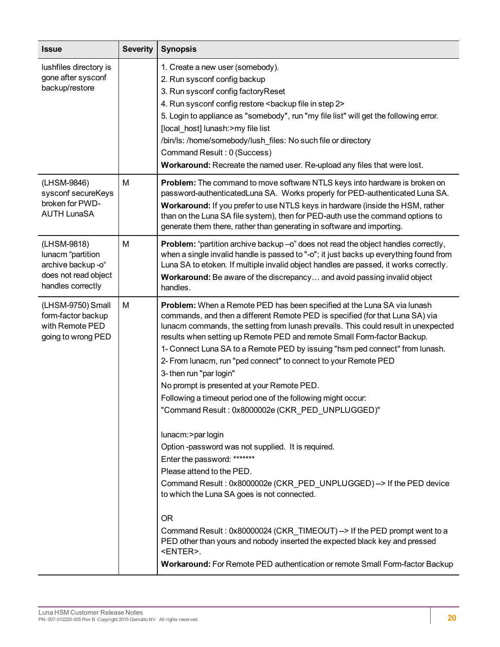| <b>Issue</b>                                                                                       | <b>Severity</b> | <b>Synopsis</b>                                                                                                                                                                                                                                                                                                                                                                                                                                                                                                                                                                                                                                                                                                                                                                                                                                                                                                                                                                                                                                                                                                                                                                                                     |
|----------------------------------------------------------------------------------------------------|-----------------|---------------------------------------------------------------------------------------------------------------------------------------------------------------------------------------------------------------------------------------------------------------------------------------------------------------------------------------------------------------------------------------------------------------------------------------------------------------------------------------------------------------------------------------------------------------------------------------------------------------------------------------------------------------------------------------------------------------------------------------------------------------------------------------------------------------------------------------------------------------------------------------------------------------------------------------------------------------------------------------------------------------------------------------------------------------------------------------------------------------------------------------------------------------------------------------------------------------------|
| lushfiles directory is<br>gone after sysconf<br>backup/restore                                     |                 | 1. Create a new user (somebody).<br>2. Run sysconf config backup<br>3. Run sysconf config factory Reset<br>4. Run sysconf config restore <backup 2="" file="" in="" step=""><br/>5. Login to appliance as "somebody", run "my file list" will get the following error.<br/>[local host] lunash:&gt;my file list<br/>/bin/ls: /home/somebody/lush_files: No such file or directory<br/>Command Result: 0 (Success)<br/>Workaround: Recreate the named user. Re-upload any files that were lost.</backup>                                                                                                                                                                                                                                                                                                                                                                                                                                                                                                                                                                                                                                                                                                             |
| (LHSM-9846)<br>sysconf secureKeys<br>broken for PWD-<br><b>AUTH LunaSA</b>                         | M               | Problem: The command to move software NTLS keys into hardware is broken on<br>password-authenticatedLuna SA. Works properly for PED-authenticated Luna SA.<br>Workaround: If you prefer to use NTLS keys in hardware (inside the HSM, rather<br>than on the Luna SA file system), then for PED-auth use the command options to<br>generate them there, rather than generating in software and importing.                                                                                                                                                                                                                                                                                                                                                                                                                                                                                                                                                                                                                                                                                                                                                                                                            |
| (LHSM-9818)<br>lunacm "partition<br>archive backup-o"<br>does not read object<br>handles correctly | M               | Problem: "partition archive backup -o" does not read the object handles correctly,<br>when a single invalid handle is passed to "-o"; it just backs up everything found from<br>Luna SA to etoken. If multiple invalid object handles are passed, it works correctly.<br>Workaround: Be aware of the discrepancy and avoid passing invalid object<br>handles.                                                                                                                                                                                                                                                                                                                                                                                                                                                                                                                                                                                                                                                                                                                                                                                                                                                       |
| (LHSM-9750) Small<br>form-factor backup<br>with Remote PED<br>going to wrong PED                   | M               | Problem: When a Remote PED has been specified at the Luna SA via lunash<br>commands, and then a different Remote PED is specified (for that Luna SA) via<br>lunacm commands, the setting from lunash prevails. This could result in unexpected<br>results when setting up Remote PED and remote Small Form-factor Backup.<br>1- Connect Luna SA to a Remote PED by issuing "hsm ped connect" from lunash.<br>2- From lunacm, run "ped connect" to connect to your Remote PED<br>3- then run "par login"<br>No prompt is presented at your Remote PED.<br>Following a timeout period one of the following might occur:<br>"Command Result: 0x8000002e (CKR_PED_UNPLUGGED)"<br>lunacm:>par login<br>Option-password was not supplied. It is required.<br>Enter the password: *******<br>Please attend to the PED.<br>Command Result: 0x8000002e (CKR PED UNPLUGGED) --> If the PED device<br>to which the Luna SA goes is not connected.<br><b>OR</b><br>Command Result: 0x80000024 (CKR_TIMEOUT) --> If the PED prompt went to a<br>PED other than yours and nobody inserted the expected black key and pressed<br><enter>.<br/>Workaround: For Remote PED authentication or remote Small Form-factor Backup</enter> |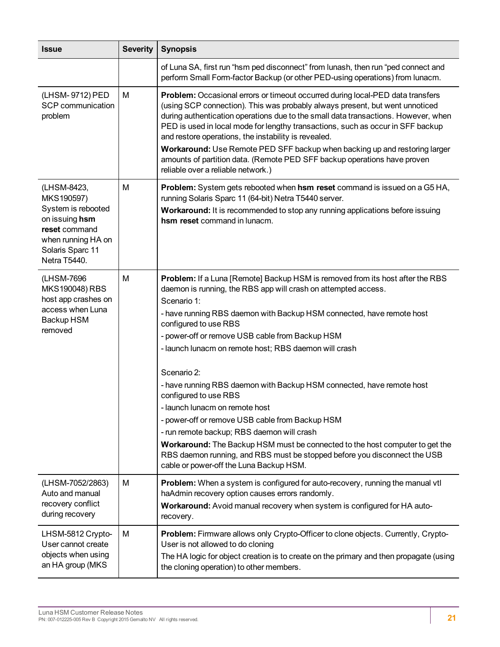| <b>Issue</b>                                                                                                                                 | <b>Severity</b> | <b>Synopsis</b>                                                                                                                                                                                                                                                                                                                                                                                                                                                                                                                                                                                                                                                                                                                                                                                                                          |
|----------------------------------------------------------------------------------------------------------------------------------------------|-----------------|------------------------------------------------------------------------------------------------------------------------------------------------------------------------------------------------------------------------------------------------------------------------------------------------------------------------------------------------------------------------------------------------------------------------------------------------------------------------------------------------------------------------------------------------------------------------------------------------------------------------------------------------------------------------------------------------------------------------------------------------------------------------------------------------------------------------------------------|
|                                                                                                                                              |                 | of Luna SA, first run "hsm ped disconnect" from lunash, then run "ped connect and<br>perform Small Form-factor Backup (or other PED-using operations) from lunacm.                                                                                                                                                                                                                                                                                                                                                                                                                                                                                                                                                                                                                                                                       |
| (LHSM-9712) PED<br><b>SCP</b> communication<br>problem                                                                                       | M               | Problem: Occasional errors or timeout occurred during local-PED data transfers<br>(using SCP connection). This was probably always present, but went unnoticed<br>during authentication operations due to the small data transactions. However, when<br>PED is used in local mode for lengthy transactions, such as occur in SFF backup<br>and restore operations, the instability is revealed.<br>Workaround: Use Remote PED SFF backup when backing up and restoring larger<br>amounts of partition data. (Remote PED SFF backup operations have proven<br>reliable over a reliable network.)                                                                                                                                                                                                                                          |
| (LHSM-8423,<br>MKS190597)<br>System is rebooted<br>on issuing hsm<br>reset command<br>when running HA on<br>Solaris Sparc 11<br>Netra T5440. | M               | Problem: System gets rebooted when hsm reset command is issued on a G5 HA,<br>running Solaris Sparc 11 (64-bit) Netra T5440 server.<br>Workaround: It is recommended to stop any running applications before issuing<br>hsm reset command in lunacm.                                                                                                                                                                                                                                                                                                                                                                                                                                                                                                                                                                                     |
| (LHSM-7696<br>MKS190048) RBS<br>host app crashes on<br>access when Luna<br>Backup HSM<br>removed                                             | M               | Problem: If a Luna [Remote] Backup HSM is removed from its host after the RBS<br>daemon is running, the RBS app will crash on attempted access.<br>Scenario 1:<br>- have running RBS daemon with Backup HSM connected, have remote host<br>configured to use RBS<br>- power-off or remove USB cable from Backup HSM<br>- launch lunacm on remote host; RBS daemon will crash<br>Scenario 2:<br>- have running RBS daemon with Backup HSM connected, have remote host<br>configured to use RBS<br>- launch lunacm on remote host<br>- power-off or remove USB cable from Backup HSM<br>- run remote backup; RBS daemon will crash<br>Workaround: The Backup HSM must be connected to the host computer to get the<br>RBS daemon running, and RBS must be stopped before you disconnect the USB<br>cable or power-off the Luna Backup HSM. |
| (LHSM-7052/2863)<br>Auto and manual<br>recovery conflict<br>during recovery                                                                  | M               | Problem: When a system is configured for auto-recovery, running the manual vtl<br>haAdmin recovery option causes errors randomly.<br>Workaround: Avoid manual recovery when system is configured for HA auto-<br>recovery.                                                                                                                                                                                                                                                                                                                                                                                                                                                                                                                                                                                                               |
| LHSM-5812 Crypto-<br>User cannot create<br>objects when using<br>an HA group (MKS                                                            | M               | Problem: Firmware allows only Crypto-Officer to clone objects. Currently, Crypto-<br>User is not allowed to do cloning<br>The HA logic for object creation is to create on the primary and then propagate (using<br>the cloning operation) to other members.                                                                                                                                                                                                                                                                                                                                                                                                                                                                                                                                                                             |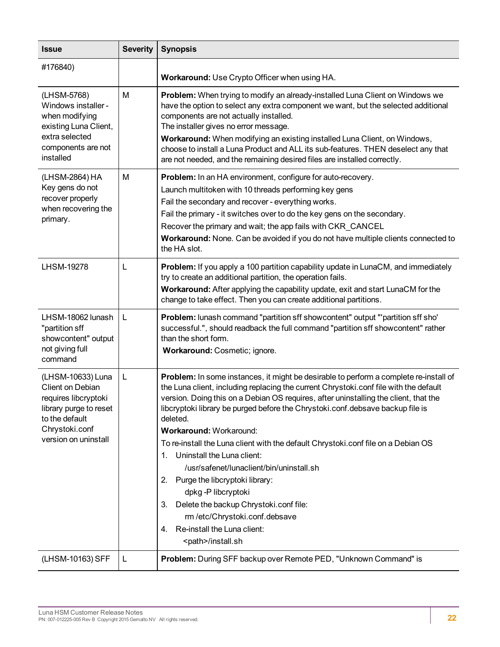| <b>Issue</b>                                                                                                                                        | <b>Severity</b> | <b>Synopsis</b>                                                                                                                                                                                                                                                                                                                                                                                                                                                                                                                                                                                                                                                                                                                                                                           |
|-----------------------------------------------------------------------------------------------------------------------------------------------------|-----------------|-------------------------------------------------------------------------------------------------------------------------------------------------------------------------------------------------------------------------------------------------------------------------------------------------------------------------------------------------------------------------------------------------------------------------------------------------------------------------------------------------------------------------------------------------------------------------------------------------------------------------------------------------------------------------------------------------------------------------------------------------------------------------------------------|
| #176840)                                                                                                                                            |                 | Workaround: Use Crypto Officer when using HA.                                                                                                                                                                                                                                                                                                                                                                                                                                                                                                                                                                                                                                                                                                                                             |
| (LHSM-5768)<br>Windows installer -<br>when modifying<br>existing Luna Client,<br>extra selected<br>components are not<br>installed                  | M               | <b>Problem:</b> When trying to modify an already-installed Luna Client on Windows we<br>have the option to select any extra component we want, but the selected additional<br>components are not actually installed.<br>The installer gives no error message.<br>Workaround: When modifying an existing installed Luna Client, on Windows,<br>choose to install a Luna Product and ALL its sub-features. THEN deselect any that<br>are not needed, and the remaining desired files are installed correctly.                                                                                                                                                                                                                                                                               |
| (LHSM-2864) HA<br>Key gens do not<br>recover properly<br>when recovering the<br>primary.                                                            | M               | Problem: In an HA environment, configure for auto-recovery.<br>Launch multitoken with 10 threads performing key gens<br>Fail the secondary and recover - everything works.<br>Fail the primary - it switches over to do the key gens on the secondary.<br>Recover the primary and wait; the app fails with CKR_CANCEL<br>Workaround: None. Can be avoided if you do not have multiple clients connected to<br>the HA slot.                                                                                                                                                                                                                                                                                                                                                                |
| <b>LHSM-19278</b>                                                                                                                                   | L               | Problem: If you apply a 100 partition capability update in LunaCM, and immediately<br>try to create an additional partition, the operation fails.<br>Workaround: After applying the capability update, exit and start LunaCM for the<br>change to take effect. Then you can create additional partitions.                                                                                                                                                                                                                                                                                                                                                                                                                                                                                 |
| LHSM-18062 lunash<br>"partition sff<br>showcontent" output<br>not giving full<br>command                                                            | L               | Problem: lunash command "partition sff showcontent" output "'partition sff sho'<br>successful.", should readback the full command "partition sff showcontent" rather<br>than the short form.<br>Workaround: Cosmetic; ignore.                                                                                                                                                                                                                                                                                                                                                                                                                                                                                                                                                             |
| (LHSM-10633) Luna<br>Client on Debian<br>requires libcryptoki<br>library purge to reset<br>to the default<br>Chrystoki.conf<br>version on uninstall | L               | <b>Problem:</b> In some instances, it might be desirable to perform a complete re-install of<br>the Luna client, including replacing the current Chrystoki.conf file with the default<br>version. Doing this on a Debian OS requires, after uninstalling the client, that the<br>libcryptoki library be purged before the Chrystoki.conf.debsave backup file is<br>deleted.<br>Workaround: Workaround:<br>To re-install the Luna client with the default Chrystoki.conf file on a Debian OS<br>1. Uninstall the Luna client:<br>/usr/safenet/lunaclient/bin/uninstall.sh<br>Purge the libcryptoki library:<br>2.<br>dpkg-P libcryptoki<br>Delete the backup Chrystoki.conf file:<br>3.<br>rm /etc/Chrystoki.conf.debsave<br>Re-install the Luna client:<br>4.<br><path>/install.sh</path> |
| (LHSM-10163) SFF                                                                                                                                    | L               | Problem: During SFF backup over Remote PED, "Unknown Command" is                                                                                                                                                                                                                                                                                                                                                                                                                                                                                                                                                                                                                                                                                                                          |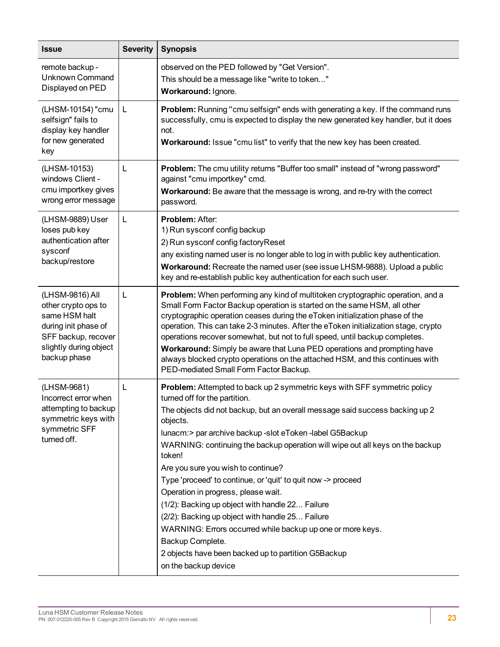| <b>Issue</b>                                                                                                                                     | <b>Severity</b> | <b>Synopsis</b>                                                                                                                                                                                                                                                                                                                                                                                                                                                                                                                                                                                                                                                                                                                                                                  |
|--------------------------------------------------------------------------------------------------------------------------------------------------|-----------------|----------------------------------------------------------------------------------------------------------------------------------------------------------------------------------------------------------------------------------------------------------------------------------------------------------------------------------------------------------------------------------------------------------------------------------------------------------------------------------------------------------------------------------------------------------------------------------------------------------------------------------------------------------------------------------------------------------------------------------------------------------------------------------|
| remote backup -<br><b>Unknown Command</b><br>Displayed on PED                                                                                    |                 | observed on the PED followed by "Get Version".<br>This should be a message like "write to token"<br>Workaround: Ignore.                                                                                                                                                                                                                                                                                                                                                                                                                                                                                                                                                                                                                                                          |
| (LHSM-10154) "cmu<br>selfsign" fails to<br>display key handler<br>for new generated<br>key                                                       | L               | Problem: Running "cmu selfsign" ends with generating a key. If the command runs<br>successfully, cmu is expected to display the new generated key handler, but it does<br>not.<br>Workaround: Issue "cmu list" to verify that the new key has been created.                                                                                                                                                                                                                                                                                                                                                                                                                                                                                                                      |
| (LHSM-10153)<br>windows Client -<br>cmu importkey gives<br>wrong error message                                                                   | L               | Problem: The cmu utility returns "Buffer too small" instead of "wrong password"<br>against "cmu importkey" cmd.<br>Workaround: Be aware that the message is wrong, and re-try with the correct<br>password.                                                                                                                                                                                                                                                                                                                                                                                                                                                                                                                                                                      |
| (LHSM-9889) User<br>loses pub key<br>authentication after<br>sysconf<br>backup/restore                                                           | L               | Problem: After:<br>1) Run sysconf config backup<br>2) Run sysconf config factory Reset<br>any existing named user is no longer able to log in with public key authentication.<br>Workaround: Recreate the named user (see issue LHSM-9888). Upload a public<br>key and re-establish public key authentication for each such user.                                                                                                                                                                                                                                                                                                                                                                                                                                                |
| (LHSM-9816) All<br>other crypto ops to<br>same HSM halt<br>during init phase of<br>SFF backup, recover<br>slightly during object<br>backup phase | L               | Problem: When performing any kind of multitoken cryptographic operation, and a<br>Small Form Factor Backup operation is started on the same HSM, all other<br>cryptographic operation ceases during the eToken initialization phase of the<br>operation. This can take 2-3 minutes. After the eToken initialization stage, crypto<br>operations recover somewhat, but not to full speed, until backup completes.<br>Workaround: Simply be aware that Luna PED operations and prompting have<br>always blocked crypto operations on the attached HSM, and this continues with<br>PED-mediated Small Form Factor Backup.                                                                                                                                                           |
| (LHSM-9681)<br>Incorrect error when<br>attempting to backup<br>symmetric keys with<br>symmetric SFF<br>turned off.                               | L               | Problem: Attempted to back up 2 symmetric keys with SFF symmetric policy<br>turned off for the partition.<br>The objects did not backup, but an overall message said success backing up 2<br>objects.<br>lunacm:> par archive backup -slot eToken -label G5Backup<br>WARNING: continuing the backup operation will wipe out all keys on the backup<br>token!<br>Are you sure you wish to continue?<br>Type 'proceed' to continue, or 'quit' to quit now -> proceed<br>Operation in progress, please wait.<br>(1/2): Backing up object with handle 22 Failure<br>(2/2): Backing up object with handle 25 Failure<br>WARNING: Errors occurred while backup up one or more keys.<br>Backup Complete.<br>2 objects have been backed up to partition G5Backup<br>on the backup device |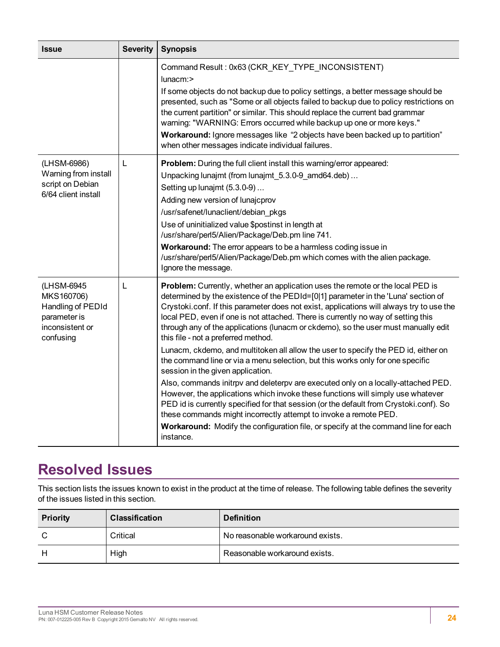| <b>Issue</b>                                                                                  | <b>Severity</b> | <b>Synopsis</b>                                                                                                                                                                                                                                                                                                                                                                                                                                                                                                                                                                                                                                                                                                                                                                                                                                                                                                                                                                                                                                                                                                                                |
|-----------------------------------------------------------------------------------------------|-----------------|------------------------------------------------------------------------------------------------------------------------------------------------------------------------------------------------------------------------------------------------------------------------------------------------------------------------------------------------------------------------------------------------------------------------------------------------------------------------------------------------------------------------------------------------------------------------------------------------------------------------------------------------------------------------------------------------------------------------------------------------------------------------------------------------------------------------------------------------------------------------------------------------------------------------------------------------------------------------------------------------------------------------------------------------------------------------------------------------------------------------------------------------|
|                                                                                               |                 | Command Result: 0x63 (CKR_KEY_TYPE_INCONSISTENT)<br>lunacm:><br>If some objects do not backup due to policy settings, a better message should be<br>presented, such as "Some or all objects failed to backup due to policy restrictions on<br>the current partition" or similar. This should replace the current bad grammar<br>warning: "WARNING: Errors occurred while backup up one or more keys."<br>Workaround: Ignore messages like "2 objects have been backed up to partition"<br>when other messages indicate individual failures.                                                                                                                                                                                                                                                                                                                                                                                                                                                                                                                                                                                                    |
| (LHSM-6986)<br>Warning from install<br>script on Debian<br>6/64 client install                | L               | Problem: During the full client install this warning/error appeared:<br>Unpacking lunajmt (from lunajmt_5.3.0-9_amd64.deb)<br>Setting up lunajmt (5.3.0-9)<br>Adding new version of lunajcprov<br>/usr/safenet/lunaclient/debian pkgs<br>Use of uninitialized value \$postinst in length at<br>/usr/share/perl5/Alien/Package/Deb.pm line 741.<br>Workaround: The error appears to be a harmless coding issue in<br>/usr/share/perl5/Alien/Package/Deb.pm which comes with the alien package.<br>Ignore the message.                                                                                                                                                                                                                                                                                                                                                                                                                                                                                                                                                                                                                           |
| (LHSM-6945<br>MKS160706)<br>Handling of PEDId<br>parameter is<br>inconsistent or<br>confusing | L               | Problem: Currently, whether an application uses the remote or the local PED is<br>determined by the existence of the PEDId=[0 1] parameter in the 'Luna' section of<br>Crystoki.conf. If this parameter does not exist, applications will always try to use the<br>local PED, even if one is not attached. There is currently no way of setting this<br>through any of the applications (lunacm or ckdemo), so the user must manually edit<br>this file - not a preferred method.<br>Lunacm, ckdemo, and multitoken all allow the user to specify the PED id, either on<br>the command line or via a menu selection, but this works only for one specific<br>session in the given application.<br>Also, commands initrpv and deleterpv are executed only on a locally-attached PED.<br>However, the applications which invoke these functions will simply use whatever<br>PED id is currently specified for that session (or the default from Crystoki.conf). So<br>these commands might incorrectly attempt to invoke a remote PED.<br><b>Workaround:</b> Modify the configuration file, or specify at the command line for each<br>instance. |

# <span id="page-23-0"></span>**Resolved Issues**

This section lists the issues known to exist in the product at the time of release. The following table defines the severity of the issues listed in this section.

| <b>Priority</b> | <b>Classification</b> | <b>Definition</b>                |
|-----------------|-----------------------|----------------------------------|
|                 | Critical              | No reasonable workaround exists. |
|                 | High                  | Reasonable workaround exists.    |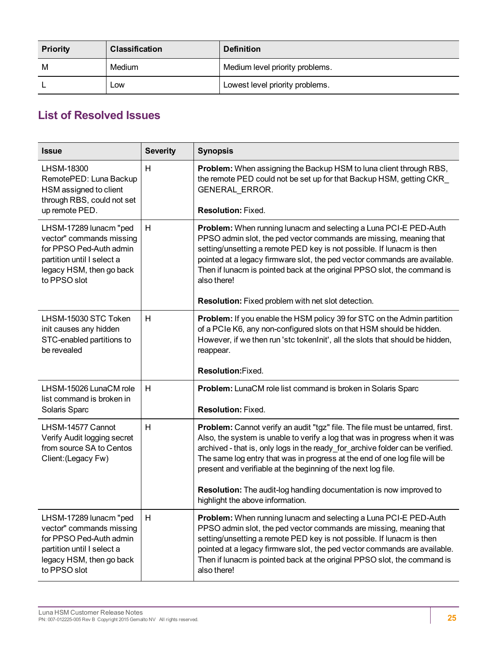| <b>Priority</b> | <b>Classification</b> | <b>Definition</b>               |
|-----------------|-----------------------|---------------------------------|
| M               | Medium                | Medium level priority problems. |
|                 | LOW                   | Lowest level priority problems. |

## <span id="page-24-0"></span>**List of Resolved Issues**

| <b>Issue</b>                                                                                                                                                 | <b>Severity</b><br><b>Synopsis</b> |                                                                                                                                                                                                                                                                                                                                                                                                                                                                                                          |  |
|--------------------------------------------------------------------------------------------------------------------------------------------------------------|------------------------------------|----------------------------------------------------------------------------------------------------------------------------------------------------------------------------------------------------------------------------------------------------------------------------------------------------------------------------------------------------------------------------------------------------------------------------------------------------------------------------------------------------------|--|
| LHSM-18300<br>RemotePED: Luna Backup<br>HSM assigned to client<br>through RBS, could not set<br>up remote PED.                                               | H                                  | <b>Problem:</b> When assigning the Backup HSM to luna client through RBS,<br>the remote PED could not be set up for that Backup HSM, getting CKR_<br>GENERAL_ERROR.<br><b>Resolution: Fixed.</b>                                                                                                                                                                                                                                                                                                         |  |
| LHSM-17289 lunacm "ped<br>vector" commands missing<br>for PPSO Ped-Auth admin<br>partition until I select a<br>legacy HSM, then go back<br>to PPSO slot      | H                                  | Problem: When running lunacm and selecting a Luna PCI-E PED-Auth<br>PPSO admin slot, the ped vector commands are missing, meaning that<br>setting/unsetting a remote PED key is not possible. If lunacm is then<br>pointed at a legacy firmware slot, the ped vector commands are available.<br>Then if lunacm is pointed back at the original PPSO slot, the command is<br>also there!<br>Resolution: Fixed problem with net slot detection.                                                            |  |
| LHSM-15030 STC Token<br>init causes any hidden<br>STC-enabled partitions to<br>be revealed                                                                   | H                                  | Problem: If you enable the HSM policy 39 for STC on the Admin partition<br>of a PCIe K6, any non-configured slots on that HSM should be hidden.<br>However, if we then run 'stc tokenInit', all the slots that should be hidden,<br>reappear.<br>Resolution: Fixed.                                                                                                                                                                                                                                      |  |
| LHSM-15026 LunaCM role<br>list command is broken in<br>Solaris Sparc                                                                                         | H                                  | Problem: LunaCM role list command is broken in Solaris Sparc<br><b>Resolution: Fixed.</b>                                                                                                                                                                                                                                                                                                                                                                                                                |  |
| LHSM-14577 Cannot<br>Verify Audit logging secret<br>from source SA to Centos<br>Client: (Legacy Fw)                                                          | H                                  | Problem: Cannot verify an audit "tgz" file. The file must be untarred, first.<br>Also, the system is unable to verify a log that was in progress when it was<br>archived - that is, only logs in the ready_for_archive folder can be verified.<br>The same log entry that was in progress at the end of one log file will be<br>present and verifiable at the beginning of the next log file.<br>Resolution: The audit-log handling documentation is now improved to<br>highlight the above information. |  |
| H<br>LHSM-17289 lunacm "ped<br>vector" commands missing<br>for PPSO Ped-Auth admin<br>partition until I select a<br>legacy HSM, then go back<br>to PPSO slot |                                    | <b>Problem:</b> When running lunacm and selecting a Luna PCI-E PED-Auth<br>PPSO admin slot, the ped vector commands are missing, meaning that<br>setting/unsetting a remote PED key is not possible. If lunacm is then<br>pointed at a legacy firmware slot, the ped vector commands are available.<br>Then if lunacm is pointed back at the original PPSO slot, the command is<br>also there!                                                                                                           |  |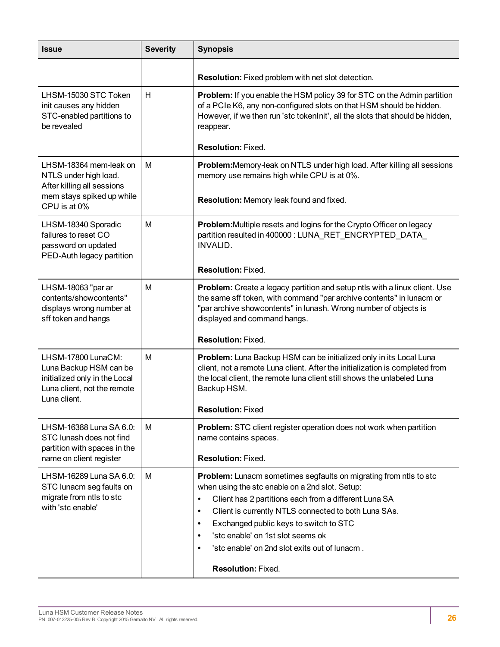| <b>Issue</b>                                                                                                                 | <b>Severity</b> | <b>Synopsis</b>                                                                                                                                                                                                                                                                                                               |  |
|------------------------------------------------------------------------------------------------------------------------------|-----------------|-------------------------------------------------------------------------------------------------------------------------------------------------------------------------------------------------------------------------------------------------------------------------------------------------------------------------------|--|
|                                                                                                                              |                 | Resolution: Fixed problem with net slot detection.                                                                                                                                                                                                                                                                            |  |
| LHSM-15030 STC Token<br>init causes any hidden<br>STC-enabled partitions to<br>be revealed                                   | H               | Problem: If you enable the HSM policy 39 for STC on the Admin partition<br>of a PCIe K6, any non-configured slots on that HSM should be hidden.<br>However, if we then run 'stc tokenInit', all the slots that should be hidden,<br>reappear.                                                                                 |  |
|                                                                                                                              |                 | <b>Resolution: Fixed.</b>                                                                                                                                                                                                                                                                                                     |  |
| LHSM-18364 mem-leak on<br>NTLS under high load.<br>After killing all sessions<br>mem stays spiked up while                   | м               | Problem: Memory-leak on NTLS under high load. After killing all sessions<br>memory use remains high while CPU is at 0%.<br>Resolution: Memory leak found and fixed.                                                                                                                                                           |  |
| CPU is at 0%                                                                                                                 |                 |                                                                                                                                                                                                                                                                                                                               |  |
| LHSM-18340 Sporadic<br>failures to reset CO<br>password on updated<br>PED-Auth legacy partition                              | M               | <b>Problem:</b> Multiple resets and logins for the Crypto Officer on legacy<br>partition resulted in 400000 : LUNA_RET_ENCRYPTED_DATA_<br>INVALID.                                                                                                                                                                            |  |
|                                                                                                                              |                 | <b>Resolution: Fixed.</b>                                                                                                                                                                                                                                                                                                     |  |
| LHSM-18063 "par ar<br>contents/showcontents"<br>displays wrong number at<br>sff token and hangs                              | M               | Problem: Create a legacy partition and setup ntls with a linux client. Use<br>the same sff token, with command "par archive contents" in lunacm or<br>"par archive showcontents" in lunash. Wrong number of objects is<br>displayed and command hangs.                                                                        |  |
|                                                                                                                              |                 | <b>Resolution: Fixed.</b>                                                                                                                                                                                                                                                                                                     |  |
| LHSM-17800 LunaCM:<br>Luna Backup HSM can be<br>initialized only in the Local<br>Luna client, not the remote<br>Luna client. | M               | Problem: Luna Backup HSM can be initialized only in its Local Luna<br>client, not a remote Luna client. After the initialization is completed from<br>the local client, the remote luna client still shows the unlabeled Luna<br>Backup HSM.<br><b>Resolution: Fixed</b>                                                      |  |
|                                                                                                                              |                 |                                                                                                                                                                                                                                                                                                                               |  |
| LHSM-16388 Luna SA 6.0:<br>STC lunash does not find<br>partition with spaces in the                                          | M               | Problem: STC client register operation does not work when partition<br>name contains spaces.                                                                                                                                                                                                                                  |  |
| name on client register                                                                                                      |                 | <b>Resolution: Fixed.</b>                                                                                                                                                                                                                                                                                                     |  |
| LHSM-16289 Luna SA 6.0:<br>STC lunacm seg faults on<br>migrate from ntls to stc<br>with 'stc enable'                         | M               | <b>Problem:</b> Lunacm sometimes segfaults on migrating from ntls to stc<br>when using the stc enable on a 2nd slot. Setup:<br>Client has 2 partitions each from a different Luna SA<br>$\bullet$<br>Client is currently NTLS connected to both Luna SAs.<br>$\bullet$<br>Exchanged public keys to switch to STC<br>$\bullet$ |  |
|                                                                                                                              |                 | 'stc enable' on 1st slot seems ok<br>$\bullet$<br>'stc enable' on 2nd slot exits out of lunacm.<br>$\bullet$                                                                                                                                                                                                                  |  |
|                                                                                                                              |                 |                                                                                                                                                                                                                                                                                                                               |  |
|                                                                                                                              |                 | Resolution: Fixed.                                                                                                                                                                                                                                                                                                            |  |